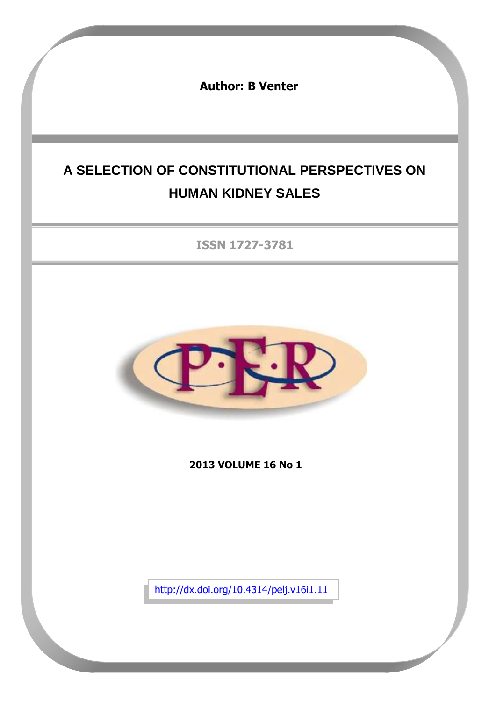**Author: B Venter**

# **A SELECTION OF CONSTITUTIONAL PERSPECTIVES ON HUMAN KIDNEY SALES**

**ISSN 1727-3781**



**2013 VOLUME 16 No 1**

<http://dx.doi.org/10.4314/pelj.v16i1.11>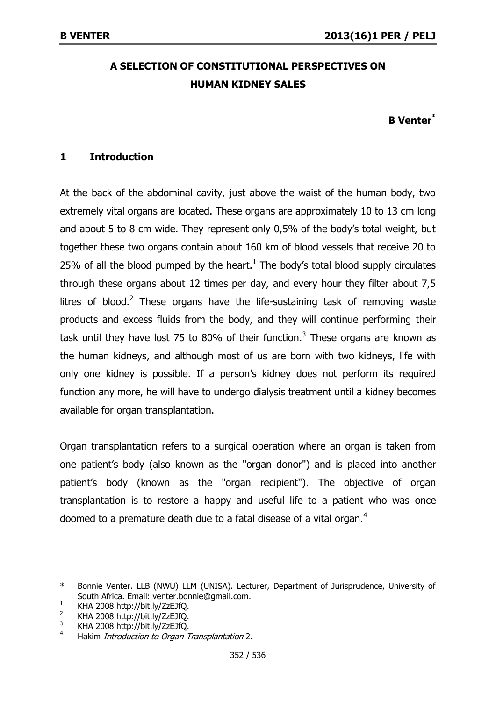# **A SELECTION OF CONSTITUTIONAL PERSPECTIVES ON HUMAN KIDNEY SALES**

**B Venter\***

#### **1 Introduction**

At the back of the abdominal cavity, just above the waist of the human body, two extremely vital organs are located. These organs are approximately 10 to 13 cm long and about 5 to 8 cm wide. They represent only 0,5% of the body's total weight, but together these two organs contain about 160 km of blood vessels that receive 20 to 25% of all the blood pumped by the heart. $<sup>1</sup>$  The body's total blood supply circulates</sup> through these organs about 12 times per day, and every hour they filter about 7,5 litres of blood.<sup>2</sup> These organs have the life-sustaining task of removing waste products and excess fluids from the body, and they will continue performing their task until they have lost 75 to 80% of their function.<sup>3</sup> These organs are known as the human kidneys, and although most of us are born with two kidneys, life with only one kidney is possible. If a person's kidney does not perform its required function any more, he will have to undergo dialysis treatment until a kidney becomes available for organ transplantation.

Organ transplantation refers to a surgical operation where an organ is taken from one patient's body (also known as the "organ donor") and is placed into another patient's body (known as the "organ recipient"). The objective of organ transplantation is to restore a happy and useful life to a patient who was once doomed to a premature death due to a fatal disease of a vital organ.<sup>4</sup>

<sup>\*</sup> Bonnie Venter. LLB (NWU) LLM (UNISA). Lecturer, Department of Jurisprudence, University of South Africa. Email: [venter.bonnie@gmail.com.](mailto:venter.bonnie@gmail.com)

<sup>1</sup> KHA 2008 http://bit.ly/ZzEJfQ.

<sup>2</sup> KHA 2008 http://bit.ly/ZzEJfQ. 3

KHA 2008 http://bit.ly/ZzEJfQ.

<sup>4</sup> Hakim *Introduction to Organ Transplantation* 2.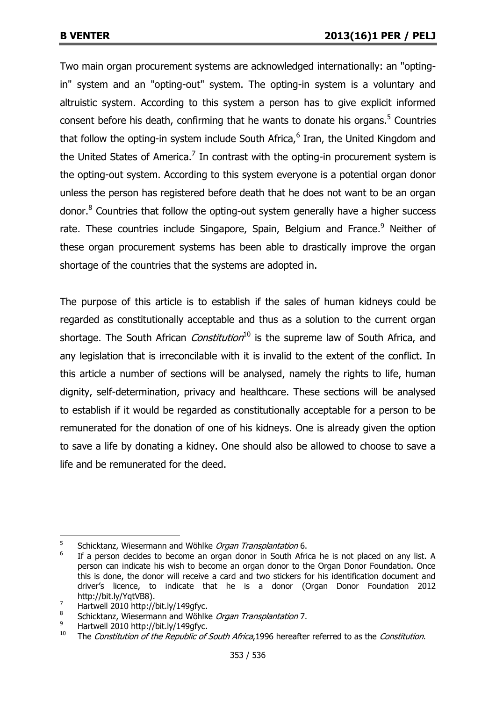Two main organ procurement systems are acknowledged internationally: an "optingin" system and an "opting-out" system. The opting-in system is a voluntary and altruistic system. According to this system a person has to give explicit informed consent before his death, confirming that he wants to donate his organs. $<sup>5</sup>$  Countries</sup> that follow the opting-in system include South Africa,<sup>6</sup> Iran, the United Kingdom and the United States of America.<sup>7</sup> In contrast with the opting-in procurement system is the opting-out system. According to this system everyone is a potential organ donor unless the person has registered before death that he does not want to be an organ donor.<sup>8</sup> Countries that follow the opting-out system generally have a higher success rate. These countries include Singapore, Spain, Belgium and France.<sup>9</sup> Neither of these organ procurement systems has been able to drastically improve the organ shortage of the countries that the systems are adopted in.

The purpose of this article is to establish if the sales of human kidneys could be regarded as constitutionally acceptable and thus as a solution to the current organ shortage. The South African *Constitution*<sup>10</sup> is the supreme law of South Africa, and any legislation that is irreconcilable with it is invalid to the extent of the conflict. In this article a number of sections will be analysed, namely the rights to life, human dignity, self-determination, privacy and healthcare. These sections will be analysed to establish if it would be regarded as constitutionally acceptable for a person to be remunerated for the donation of one of his kidneys. One is already given the option to save a life by donating a kidney. One should also be allowed to choose to save a life and be remunerated for the deed.

<sup>—&</sup>lt;br>5 Schicktanz, Wiesermann and Wöhlke Organ Transplantation 6.

<sup>6</sup> If a person decides to become an organ donor in South Africa he is not placed on any list. A person can indicate his wish to become an organ donor to the Organ Donor Foundation. Once this is done, the donor will receive a card and two stickers for his identification document and driver's licence, to indicate that he is a donor (Organ Donor Foundation 2012 http://bit.ly/YqtVB8).

 $7$  Hartwell 2010 http://bit.ly/149qfyc.

<sup>8</sup> Schicktanz, Wiesermann and Wöhlke Organ Transplantation 7.

 $\frac{9}{10}$  Hartwell 2010 http://bit.ly/149gfyc.

The Constitution of the Republic of South Africa,1996 hereafter referred to as the Constitution.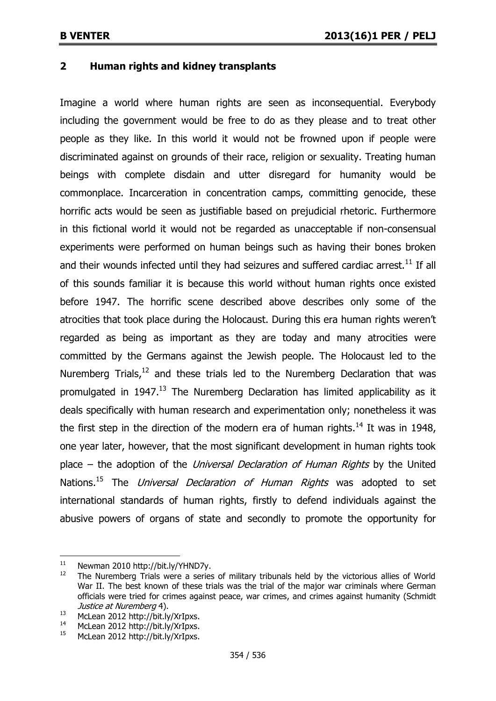#### **2 Human rights and kidney transplants**

Imagine a world where human rights are seen as inconsequential. Everybody including the government would be free to do as they please and to treat other people as they like. In this world it would not be frowned upon if people were discriminated against on grounds of their race, religion or sexuality. Treating human beings with complete disdain and utter disregard for humanity would be commonplace. Incarceration in concentration camps, committing genocide, these horrific acts would be seen as justifiable based on prejudicial rhetoric. Furthermore in this fictional world it would not be regarded as unacceptable if non-consensual experiments were performed on human beings such as having their bones broken and their wounds infected until they had seizures and suffered cardiac arrest.<sup>11</sup> If all of this sounds familiar it is because this world without human rights once existed before 1947. The horrific scene described above describes only some of the atrocities that took place during the Holocaust. During this era human rights weren't regarded as being as important as they are today and many atrocities were committed by the Germans against the Jewish people. The Holocaust led to the Nuremberg Trials, $12$  and these trials led to the Nuremberg Declaration that was promulgated in  $1947<sup>13</sup>$  The Nuremberg Declaration has limited applicability as it deals specifically with human research and experimentation only; nonetheless it was the first step in the direction of the modern era of human rights.<sup>14</sup> It was in 1948, one year later, however, that the most significant development in human rights took place – the adoption of the *Universal Declaration of Human Rights* by the United Nations.<sup>15</sup> The *Universal Declaration of Human Rights* was adopted to set international standards of human rights, firstly to defend individuals against the abusive powers of organs of state and secondly to promote the opportunity for

 $11$  $11$  Newman 2010 http://bit.ly/YHND7y.

The Nuremberg Trials were a series of military tribunals held by the victorious allies of World War II. The best known of these trials was the trial of the major war criminals where German officials were tried for crimes against peace, war crimes, and crimes against humanity (Schmidt Justice at Nuremberg 4).

<sup>&</sup>lt;sup>13</sup> McLean 2012 http://bit.ly/XrIpxs.<br><sup>14</sup> McLean 2012 http://bit.ly/YrIpxs.

<sup>&</sup>lt;sup>14</sup> McLean 2012 http://bit.ly/XrIpxs.<br><sup>15</sup> McLean 2012 http://bit.ly/XrIpxs.

McLean 2012 http://bit.ly/XrIpxs.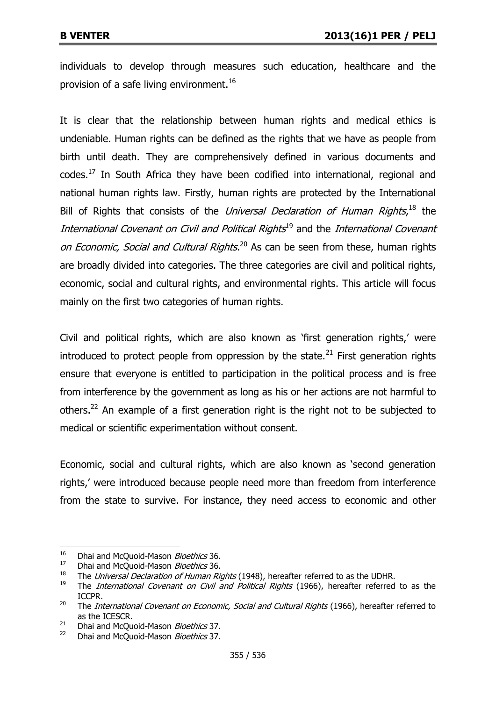individuals to develop through measures such education, healthcare and the provision of a safe living environment.<sup>16</sup>

It is clear that the relationship between human rights and medical ethics is undeniable. Human rights can be defined as the rights that we have as people from birth until death. They are comprehensively defined in various documents and codes.<sup>17</sup> In South Africa they have been codified into international, regional and national human rights law. Firstly, human rights are protected by the International Bill of Rights that consists of the *Universal Declaration of Human Rights*,<sup>18</sup> the International Covenant on Civil and Political Rights<sup>19</sup> and the International Covenant on Economic, Social and Cultural Rights.<sup>20</sup> As can be seen from these, human rights are broadly divided into categories. The three categories are civil and political rights, economic, social and cultural rights, and environmental rights. This article will focus mainly on the first two categories of human rights.

Civil and political rights, which are also known as 'first generation rights,' were introduced to protect people from oppression by the state.<sup>21</sup> First generation rights ensure that everyone is entitled to participation in the political process and is free from interference by the government as long as his or her actions are not harmful to others.<sup>22</sup> An example of a first generation right is the right not to be subjected to medical or scientific experimentation without consent.

Economic, social and cultural rights, which are also known as 'second generation rights,' were introduced because people need more than freedom from interference from the state to survive. For instance, they need access to economic and other

<sup>&</sup>lt;sup>16</sup> Dhai and McQuoid-Mason *Bioethics* 36.

Dhai and McQuoid-Mason Bioethics 36.

<sup>&</sup>lt;sup>18</sup> The *Universal Declaration of Human Rights* (1948), hereafter referred to as the UDHR.<br><sup>19</sup> The *International Covenant on Civil and Political Bights* (1966), hereafter referred

The *International Covenant on Civil and Political Rights* (1966), hereafter referred to as the ICCPR.

<sup>&</sup>lt;sup>20</sup> The *International Covenant on Economic, Social and Cultural Rights* (1966), hereafter referred to as the ICESCR.

<sup>&</sup>lt;sup>21</sup> Dhai and McQuoid-Mason *Bioethics* 37.

Dhai and McQuoid-Mason Bioethics 37.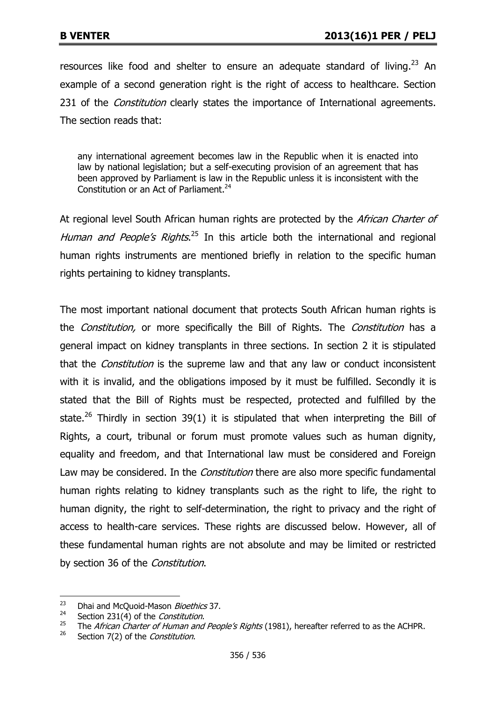resources like food and shelter to ensure an adequate standard of living.<sup>23</sup> An example of a second generation right is the right of access to healthcare. Section 231 of the *Constitution* clearly states the importance of International agreements. The section reads that:

any international agreement becomes law in the Republic when it is enacted into law by national legislation; but a self-executing provision of an agreement that has been approved by Parliament is law in the Republic unless it is inconsistent with the Constitution or an Act of Parliament.<sup>24</sup>

At regional level South African human rights are protected by the African Charter of Human and People's Rights.<sup>25</sup> In this article both the international and regional human rights instruments are mentioned briefly in relation to the specific human rights pertaining to kidney transplants.

The most important national document that protects South African human rights is the *Constitution*, or more specifically the Bill of Rights. The *Constitution* has a general impact on kidney transplants in three sections. In section 2 it is stipulated that the *Constitution* is the supreme law and that any law or conduct inconsistent with it is invalid, and the obligations imposed by it must be fulfilled. Secondly it is stated that the Bill of Rights must be respected, protected and fulfilled by the state.<sup>26</sup> Thirdly in section 39(1) it is stipulated that when interpreting the Bill of Rights, a court, tribunal or forum must promote values such as human dignity, equality and freedom, and that International law must be considered and Foreign Law may be considered. In the *Constitution* there are also more specific fundamental human rights relating to kidney transplants such as the right to life, the right to human dignity, the right to self-determination, the right to privacy and the right of access to health-care services. These rights are discussed below. However, all of these fundamental human rights are not absolute and may be limited or restricted by section 36 of the Constitution.

<sup>23</sup> <sup>23</sup> Dhai and McQuoid-Mason *Bioethics* 37.

<sup>&</sup>lt;sup>24</sup> Section 231(4) of the *Constitution*.<br><sup>25</sup> The *African Charter of Human and* 

<sup>&</sup>lt;sup>25</sup> The *African Charter of Human and People's Rights* (1981), hereafter referred to as the ACHPR.<br><sup>26</sup> Section 7(2) of the *Constitution* 

Section 7(2) of the Constitution.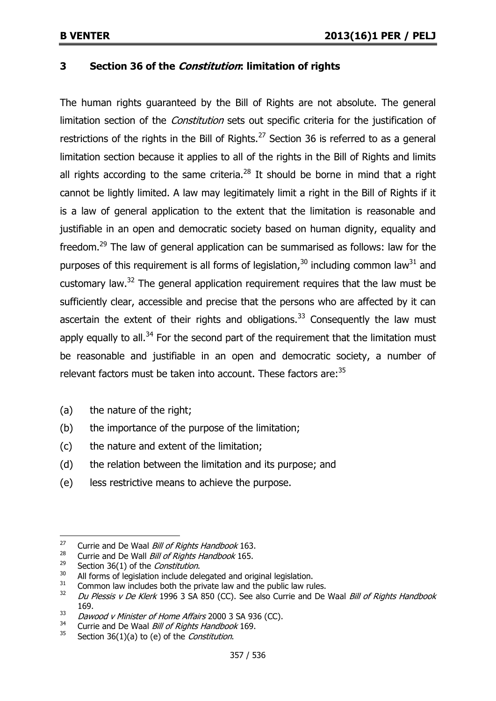# **3 Section 36 of the Constitution: limitation of rights**

The human rights guaranteed by the Bill of Rights are not absolute. The general limitation section of the *Constitution* sets out specific criteria for the justification of restrictions of the rights in the Bill of Rights.<sup>27</sup> Section 36 is referred to as a general limitation section because it applies to all of the rights in the Bill of Rights and limits all rights according to the same criteria.<sup>28</sup> It should be borne in mind that a right cannot be lightly limited. A law may legitimately limit a right in the Bill of Rights if it is a law of general application to the extent that the limitation is reasonable and justifiable in an open and democratic society based on human dignity, equality and freedom.<sup>29</sup> The law of general application can be summarised as follows: law for the purposes of this requirement is all forms of legislation,  $30$  including common law  $31$  and customary law. $32$  The general application requirement requires that the law must be sufficiently clear, accessible and precise that the persons who are affected by it can ascertain the extent of their rights and obligations.<sup>33</sup> Consequently the law must apply equally to all.<sup>34</sup> For the second part of the requirement that the limitation must be reasonable and justifiable in an open and democratic society, a number of relevant factors must be taken into account. These factors are:<sup>35</sup>

- (a) the nature of the right;
- (b) the importance of the purpose of the limitation;
- (c) the nature and extent of the limitation;
- (d) the relation between the limitation and its purpose; and
- (e) less restrictive means to achieve the purpose.

 $27$ <sup>27</sup> Currie and De Waal *Bill of Rights Handbook* 163.

<sup>&</sup>lt;sup>28</sup> Currie and De Wall *Bill of Rights Handbook* 165.

<sup>&</sup>lt;sup>29</sup> Section 36(1) of the *Constitution*.<br><sup>30</sup> All forms of legislation include del

 $30$  All forms of legislation include delegated and original legislation.<br> $31$  Common law includes both the private law and the public law ru

<sup>&</sup>lt;sup>31</sup> Common law includes both the private law and the public law rules.<br><sup>32</sup> Dy Blassis v De Klerk 1996 3 SA 850 (CC). See also Currie and De

Du Plessis v De Klerk 1996 3 SA 850 (CC). See also Currie and De Waal Bill of Rights Handbook 169.

 $33$  Dawood v Minister of Home Affairs 2000 3 SA 936 (CC).

<sup>&</sup>lt;sup>34</sup> Currie and De Waal *Bill of Rights Handbook* 169.

Section 36(1)(a) to (e) of the Constitution.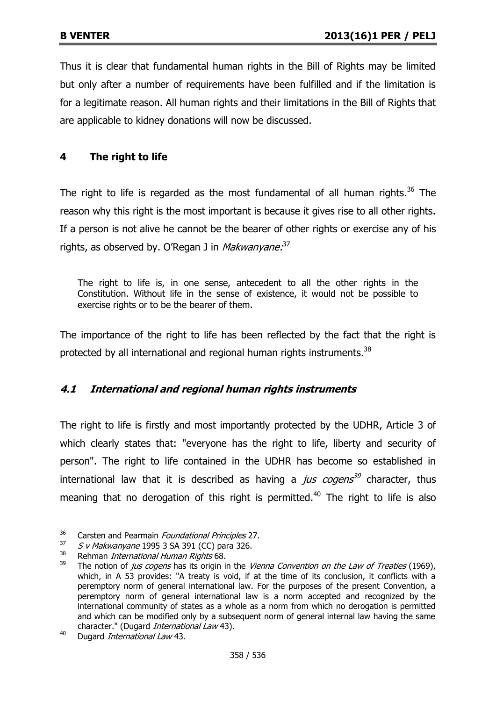Thus it is clear that fundamental human rights in the Bill of Rights may be limited but only after a number of requirements have been fulfilled and if the limitation is for a legitimate reason. All human rights and their limitations in the Bill of Rights that are applicable to kidney donations will now be discussed.

# **4 The right to life**

The right to life is regarded as the most fundamental of all human rights.<sup>36</sup> The reason why this right is the most important is because it gives rise to all other rights. If a person is not alive he cannot be the bearer of other rights or exercise any of his rights, as observed by. O'Regan J in *Makwanyane.<sup>37</sup>* 

The right to life is, in one sense, antecedent to all the other rights in the Constitution. Without life in the sense of existence, it would not be possible to exercise rights or to be the bearer of them.

The importance of the right to life has been reflected by the fact that the right is protected by all international and regional human rights instruments.<sup>38</sup>

# **4.1 International and regional human rights instruments**

The right to life is firstly and most importantly protected by the UDHR, Article 3 of which clearly states that: "everyone has the right to life, liberty and security of person". The right to life contained in the UDHR has become so established in international law that it is described as having a *jus cogens*<sup>39</sup> character, thus meaning that no derogation of this right is permitted.<sup>40</sup> The right to life is also

 $36\,$  $36$  Carsten and Pearmain *Foundational Principles* 27.

 $37$  S v Makwanyane 1995 3 SA 391 (CC) para 326.

 $38$  Rehman *International Human Rights* 68.

The notion of jus cogens has its origin in the Vienna Convention on the Law of Treaties (1969), which, in A 53 provides: "A treaty is void, if at the time of its conclusion, it conflicts with a peremptory norm of general international law. For the purposes of the present Convention, a peremptory norm of general international law is a norm accepted and recognized by the international community of states as a whole as a norm from which no derogation is permitted and which can be modified only by a subsequent norm of general internal law having the same character." (Dugard International Law 43).

<sup>40</sup> Dugard *International Law* 43.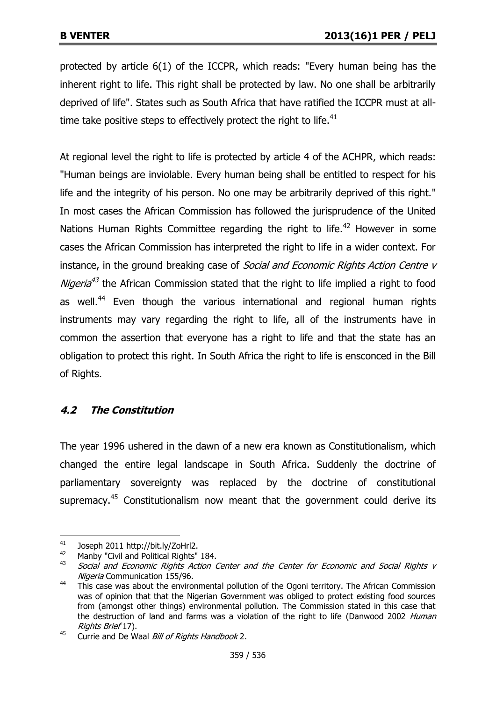protected by article 6(1) of the ICCPR, which reads: "Every human being has the inherent right to life. This right shall be protected by law. No one shall be arbitrarily deprived of life". States such as South Africa that have ratified the ICCPR must at alltime take positive steps to effectively protect the right to life. $41$ 

At regional level the right to life is protected by article 4 of the ACHPR, which reads: "Human beings are inviolable. Every human being shall be entitled to respect for his life and the integrity of his person. No one may be arbitrarily deprived of this right." In most cases the African Commission has followed the jurisprudence of the United Nations Human Rights Committee regarding the right to life.<sup>42</sup> However in some cases the African Commission has interpreted the right to life in a wider context. For instance, in the ground breaking case of *Social and Economic Rights Action Centre v Nigeria<sup>43</sup>* the African Commission stated that the right to life implied a right to food as well.<sup>44</sup> Even though the various international and regional human rights instruments may vary regarding the right to life, all of the instruments have in common the assertion that everyone has a right to life and that the state has an obligation to protect this right. In South Africa the right to life is ensconced in the Bill of Rights.

# **4.2 The Constitution**

The year 1996 ushered in the dawn of a new era known as Constitutionalism, which changed the entire legal landscape in South Africa. Suddenly the doctrine of parliamentary sovereignty was replaced by the doctrine of constitutional supremacy.<sup>45</sup> Constitutionalism now meant that the government could derive its

<sup>1</sup> 41 Joseph 2011 [http://bit.ly/ZoHrl2.](http://bit.ly/ZoHrl2)

 $\frac{42}{13}$  Manby "Civil and Political Rights" 184.

Social and Economic Rights Action Center and the Center for Economic and Social Rights v Nigeria Communication 155/96.

<sup>&</sup>lt;sup>44</sup> This case was about the environmental pollution of the Ogoni territory. The African Commission was of opinion that that the Nigerian Government was obliged to protect existing food sources from (amongst other things) environmental pollution. The Commission stated in this case that the destruction of land and farms was a violation of the right to life (Danwood 2002 Human Rights Brief 17).

<sup>&</sup>lt;sup>45</sup> Currie and De Waal *Bill of Rights Handbook* 2.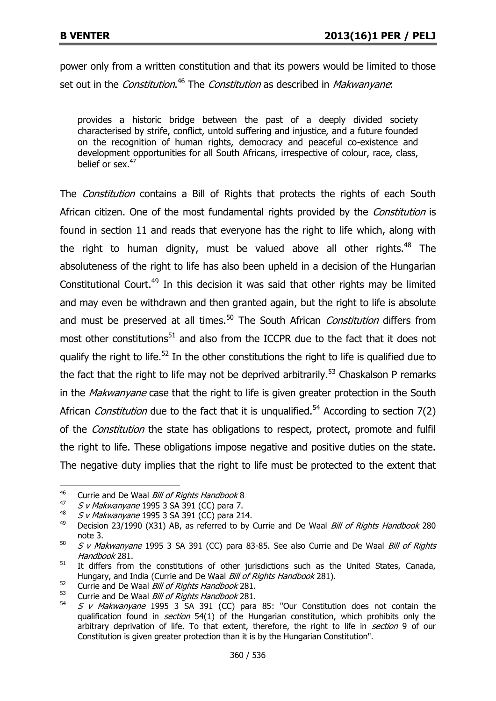power only from a written constitution and that its powers would be limited to those set out in the *Constitution*.<sup>46</sup> The *Constitution* as described in *Makwanyane*:

provides a historic bridge between the past of a deeply divided society characterised by strife, conflict, untold suffering and injustice, and a future founded on the recognition of human rights, democracy and peaceful co-existence and development opportunities for all South Africans, irrespective of colour, race, class, belief or sex.<sup>47</sup>

The *Constitution* contains a Bill of Rights that protects the rights of each South African citizen. One of the most fundamental rights provided by the *Constitution* is found in section 11 and reads that everyone has the right to life which, along with the right to human dignity, must be valued above all other rights.<sup>48</sup> The absoluteness of the right to life has also been upheld in a decision of the Hungarian Constitutional Court.<sup>49</sup> In this decision it was said that other rights may be limited and may even be withdrawn and then granted again, but the right to life is absolute and must be preserved at all times.<sup>50</sup> The South African *Constitution* differs from most other constitutions<sup>51</sup> and also from the ICCPR due to the fact that it does not qualify the right to life.<sup>52</sup> In the other constitutions the right to life is qualified due to the fact that the right to life may not be deprived arbitrarily.<sup>53</sup> Chaskalson P remarks in the Makwanyane case that the right to life is given greater protection in the South African *Constitution* due to the fact that it is unqualified.<sup>54</sup> According to section  $7(2)$ of the *Constitution* the state has obligations to respect, protect, promote and fulfil the right to life. These obligations impose negative and positive duties on the state. The negative duty implies that the right to life must be protected to the extent that

<sup>&</sup>lt;sup>46</sup> Currie and De Waal *Bill of Rights Handbook* 8

 $^{47}$  S v Makwanyane 1995 3 SA 391 (CC) para 7.

 $^{48}$  S v Makwanyane 1995 3 SA 391 (CC) para 214.

Decision 23/1990 (X31) AB, as referred to by Currie and De Waal Bill of Rights Handbook 280 note 3.

 $50$  S v Makwanyane 1995 3 SA 391 (CC) para 83-85. See also Currie and De Waal Bill of Rights Handbook 281.

<sup>&</sup>lt;sup>51</sup> It differs from the constitutions of other jurisdictions such as the United States, Canada, Hungary, and India (Currie and De Waal Bill of Rights Handbook 281).

 $52$  Currie and De Waal *Bill of Rights Handbook* 281.

<sup>&</sup>lt;sup>53</sup> Currie and De Waal *Bill of Rights Handbook* 281.<br><sup>54</sup> S. V. Makwanyang 1995 3 SA 391 (CC) para

 $5 \text{ v}$  Makwanyane 1995 3 SA 391 (CC) para 85: "Our Constitution does not contain the qualification found in *section* 54(1) of the Hungarian constitution, which prohibits only the arbitrary deprivation of life. To that extent, therefore, the right to life in section 9 of our Constitution is given greater protection than it is by the Hungarian Constitution".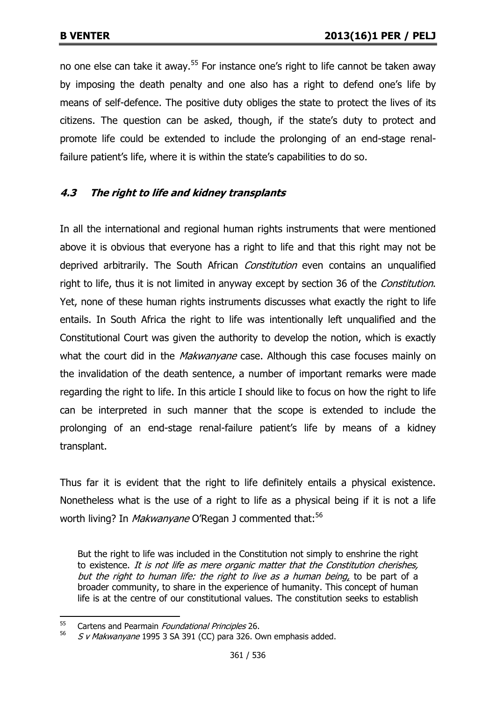no one else can take it away.<sup>55</sup> For instance one's right to life cannot be taken away by imposing the death penalty and one also has a right to defend one's life by means of self-defence. The positive duty obliges the state to protect the lives of its citizens. The question can be asked, though, if the state's duty to protect and promote life could be extended to include the prolonging of an end-stage renalfailure patient's life, where it is within the state's capabilities to do so.

# **4.3 The right to life and kidney transplants**

In all the international and regional human rights instruments that were mentioned above it is obvious that everyone has a right to life and that this right may not be deprived arbitrarily. The South African *Constitution* even contains an unqualified right to life, thus it is not limited in anyway except by section 36 of the *Constitution*. Yet, none of these human rights instruments discusses what exactly the right to life entails. In South Africa the right to life was intentionally left unqualified and the Constitutional Court was given the authority to develop the notion, which is exactly what the court did in the *Makwanyane* case. Although this case focuses mainly on the invalidation of the death sentence, a number of important remarks were made regarding the right to life. In this article I should like to focus on how the right to life can be interpreted in such manner that the scope is extended to include the prolonging of an end-stage renal-failure patient's life by means of a kidney transplant.

Thus far it is evident that the right to life definitely entails a physical existence. Nonetheless what is the use of a right to life as a physical being if it is not a life worth living? In *Makwanyane* O'Regan J commented that:<sup>56</sup>

But the right to life was included in the Constitution not simply to enshrine the right to existence. It is not life as mere organic matter that the Constitution cherishes, but the right to human life: the right to live as a human being, to be part of a broader community, to share in the experience of humanity. This concept of human life is at the centre of our constitutional values. The constitution seeks to establish

<sup>55</sup> <sup>55</sup> Cartens and Pearmain *Foundational Principles* 26.<br><sup>56</sup> S. Makwanyang 1995 3 S.A. 391 (CC) para 326. Q

S v Makwanyane 1995 3 SA 391 (CC) para 326. Own emphasis added.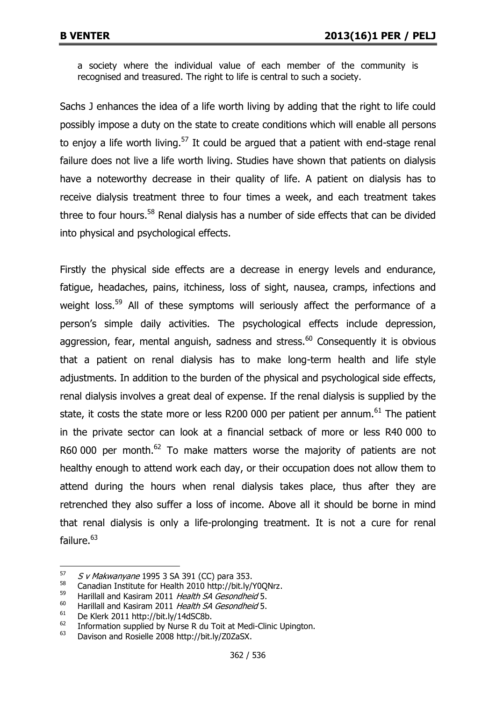a society where the individual value of each member of the community is recognised and treasured. The right to life is central to such a society.

Sachs J enhances the idea of a life worth living by adding that the right to life could possibly impose a duty on the state to create conditions which will enable all persons to enjoy a life worth living.<sup>57</sup> It could be argued that a patient with end-stage renal failure does not live a life worth living. Studies have shown that patients on dialysis have a noteworthy decrease in their quality of life. A patient on dialysis has to receive dialysis treatment three to four times a week, and each treatment takes three to four hours.<sup>58</sup> Renal dialysis has a number of side effects that can be divided into physical and psychological effects.

Firstly the physical side effects are a decrease in energy levels and endurance, fatigue, headaches, pains, itchiness, loss of sight, nausea, cramps, infections and weight loss.<sup>59</sup> All of these symptoms will seriously affect the performance of a person's simple daily activities. The psychological effects include depression, aggression, fear, mental anguish, sadness and stress. $60$  Consequently it is obvious that a patient on renal dialysis has to make long-term health and life style adjustments. In addition to the burden of the physical and psychological side effects, renal dialysis involves a great deal of expense. If the renal dialysis is supplied by the state, it costs the state more or less R200 000 per patient per annum.<sup>61</sup> The patient in the private sector can look at a financial setback of more or less R40 000 to R60 000 per month.<sup>62</sup> To make matters worse the majority of patients are not healthy enough to attend work each day, or their occupation does not allow them to attend during the hours when renal dialysis takes place, thus after they are retrenched they also suffer a loss of income. Above all it should be borne in mind that renal dialysis is only a life-prolonging treatment. It is not a cure for renal failure. $63$ 

<sup>57</sup>  $57$  S v Makwanyane 1995 3 SA 391 (CC) para 353.<br> $58$  Canadian Institute for Health 2010 http://bit.ly/

<sup>&</sup>lt;sup>58</sup> Canadian Institute for Health 2010 http://bit.ly/Y0QNrz.<br><sup>59</sup> Harillall and Kasiram 2011 Health SA Gecondheid 5

<sup>&</sup>lt;sup>59</sup> Harillall and Kasiram 2011 *Health SA Gesondheid* 5.

 $^{60}$  Harillall and Kasiram 2011 *Health SA Gesondheid* 5.

<sup>&</sup>lt;sup>61</sup> De Klerk 2011 http://bit.ly/14dSC8b.<br><sup>62</sup> Information supplied by Nurse B du

<sup>&</sup>lt;sup>62</sup> Information supplied by Nurse R du Toit at Medi-Clinic Upington.<br><sup>63</sup> Davison and Bosielle 2008 http://bit.ly/707aSY

<sup>63</sup> Davison and Rosielle 2008 http://bit.ly/Z0ZaSX.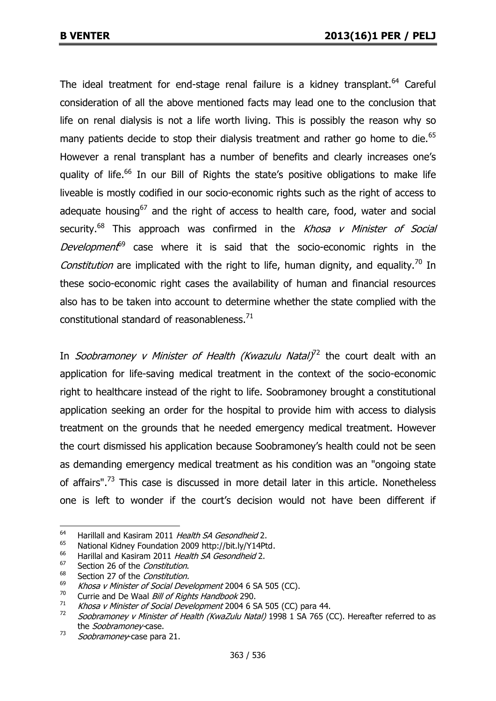The ideal treatment for end-stage renal failure is a kidney transplant.<sup>64</sup> Careful consideration of all the above mentioned facts may lead one to the conclusion that life on renal dialysis is not a life worth living. This is possibly the reason why so many patients decide to stop their dialysis treatment and rather go home to die.<sup>65</sup> However a renal transplant has a number of benefits and clearly increases one's quality of life. $^{66}$  In our Bill of Rights the state's positive obligations to make life liveable is mostly codified in our socio-economic rights such as the right of access to adequate housing<sup>67</sup> and the right of access to health care, food, water and social security.<sup>68</sup> This approach was confirmed in the Khosa v Minister of Social Development<sup>69</sup> case where it is said that the socio-economic rights in the *Constitution* are implicated with the right to life, human dignity, and equality.<sup>70</sup> In these socio-economic right cases the availability of human and financial resources also has to be taken into account to determine whether the state complied with the constitutional standard of reasonableness. $71$ 

In Soobramoney v Minister of Health (Kwazulu Natal)<sup>72</sup> the court dealt with an application for life-saving medical treatment in the context of the socio-economic right to healthcare instead of the right to life. Soobramoney brought a constitutional application seeking an order for the hospital to provide him with access to dialysis treatment on the grounds that he needed emergency medical treatment. However the court dismissed his application because Soobramoney's health could not be seen as demanding emergency medical treatment as his condition was an "ongoing state of affairs".<sup>73</sup> This case is discussed in more detail later in this article. Nonetheless one is left to wonder if the court's decision would not have been different if

<sup>64</sup>  $^{64}$  Harillall and Kasiram 2011 *Health SA Gesondheid* 2.

 $^{65}$  National Kidney Foundation 2009 http://bit.ly/Y14Ptd.

 $^{66}$  Harillal and Kasiram 2011 *Health SA Gesondheid* 2.

 $^{67}$  Section 26 of the *Constitution*.

Section 27 of the Constitution.

<sup>&</sup>lt;sup>69</sup> Khosa v Minister of Social Development 2004 6 SA 505 (CC).

<sup>&</sup>lt;sup>70</sup> Currie and De Waal *Bill of Rights Handbook* 290.

<sup>&</sup>lt;sup>71</sup> Khosa v Minister of Social Development 2004 6 SA 505 (CC) para 44.

Soobramoney v Minister of Health (KwaZulu Natal) 1998 1 SA 765 (CC). Hereafter referred to as the Soobramoney-case.

 $73$  Soobramoney-case para 21.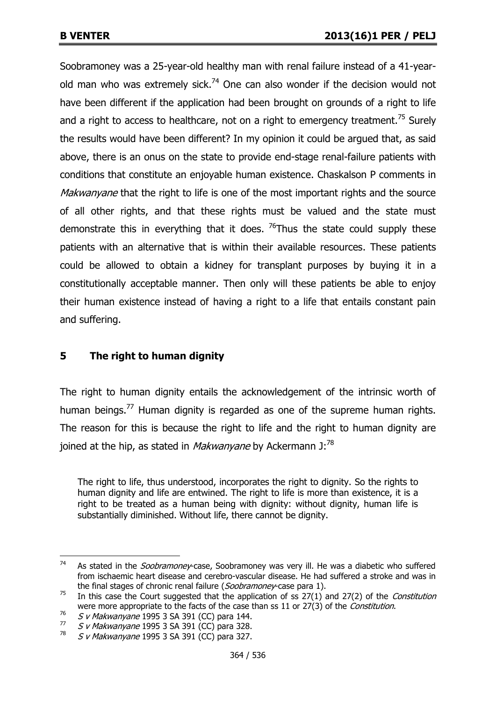Soobramoney was a 25-year-old healthy man with renal failure instead of a 41-yearold man who was extremely sick.<sup>74</sup> One can also wonder if the decision would not have been different if the application had been brought on grounds of a right to life and a right to access to healthcare, not on a right to emergency treatment.<sup>75</sup> Surely the results would have been different? In my opinion it could be argued that, as said above, there is an onus on the state to provide end-stage renal-failure patients with conditions that constitute an enjoyable human existence. Chaskalson P comments in Makwanyane that the right to life is one of the most important rights and the source of all other rights, and that these rights must be valued and the state must demonstrate this in everything that it does.  $76$ Thus the state could supply these patients with an alternative that is within their available resources. These patients could be allowed to obtain a kidney for transplant purposes by buying it in a constitutionally acceptable manner. Then only will these patients be able to enjoy their human existence instead of having a right to a life that entails constant pain and suffering.

# **5 The right to human dignity**

The right to human dignity entails the acknowledgement of the intrinsic worth of human beings.<sup>77</sup> Human dignity is regarded as one of the supreme human rights. The reason for this is because the right to life and the right to human dignity are joined at the hip, as stated in Makwanyane by Ackermann  $1.^{78}$ 

The right to life, thus understood, incorporates the right to dignity. So the rights to human dignity and life are entwined. The right to life is more than existence, it is a right to be treated as a human being with dignity: without dignity, human life is substantially diminished. Without life, there cannot be dignity.

<sup>&</sup>lt;sup>74</sup> As stated in the *Soobramoney*-case, Soobramoney was very ill. He was a diabetic who suffered from ischaemic heart disease and cerebro-vascular disease. He had suffered a stroke and was in the final stages of chronic renal failure (Soobramoney-case para 1).

<sup>&</sup>lt;sup>75</sup> In this case the Court suggested that the application of ss  $27(1)$  and  $27(2)$  of the *Constitution* were more appropriate to the facts of the case than ss 11 or 27(3) of the *Constitution*.

 $76$  S v Makwanyane 1995 3 SA 391 (CC) para 144.

 $^{77}$  S v Makwanyane 1995 3 SA 391 (CC) para 328.<br> $^{78}$  S v Makwanyane 1995 3 SA 391 (CC) para 327.

S v Makwanyane 1995 3 SA 391 (CC) para 327.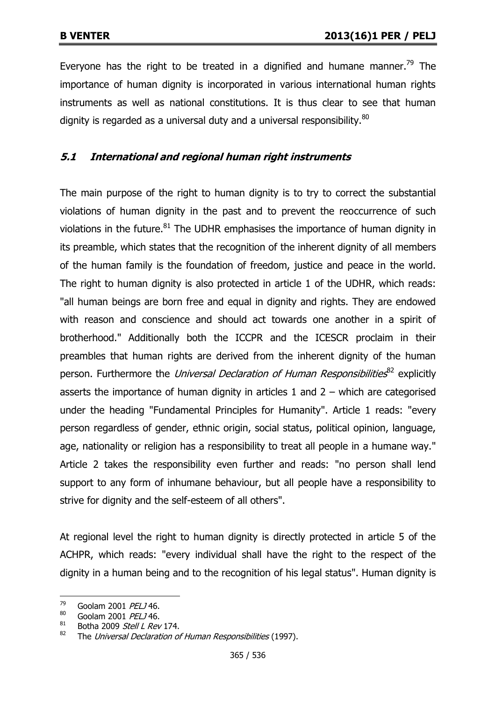Everyone has the right to be treated in a dignified and humane manner.<sup>79</sup> The importance of human dignity is incorporated in various international human rights instruments as well as national constitutions. It is thus clear to see that human dignity is regarded as a universal duty and a universal responsibility. $^{80}$ 

#### **5.1 International and regional human right instruments**

The main purpose of the right to human dignity is to try to correct the substantial violations of human dignity in the past and to prevent the reoccurrence of such violations in the future. $81$  The UDHR emphasises the importance of human dignity in its preamble, which states that the recognition of the inherent dignity of all members of the human family is the foundation of freedom, justice and peace in the world. The right to human dignity is also protected in article 1 of the UDHR, which reads: "all human beings are born free and equal in dignity and rights. They are endowed with reason and conscience and should act towards one another in a spirit of brotherhood." Additionally both the ICCPR and the ICESCR proclaim in their preambles that human rights are derived from the inherent dignity of the human person. Furthermore the *Universal Declaration of Human Responsibilities*<sup>82</sup> explicitly asserts the importance of human dignity in articles 1 and  $2$  – which are categorised under the heading "Fundamental Principles for Humanity". Article 1 reads: "every person regardless of gender, ethnic origin, social status, political opinion, language, age, nationality or religion has a responsibility to treat all people in a humane way." Article 2 takes the responsibility even further and reads: "no person shall lend support to any form of inhumane behaviour, but all people have a responsibility to strive for dignity and the self-esteem of all others".

At regional level the right to human dignity is directly protected in article 5 of the ACHPR, which reads: "every individual shall have the right to the respect of the dignity in a human being and to the recognition of his legal status". Human dignity is

<sup>79</sup>  $^{79}$  Goolam 2001 *PELJ* 46.

 $^{80}$  Goolam 2001 *PELJ* 46.

 $^{81}$  Botha 2009 *Stell L Rev* 174.

The Universal Declaration of Human Responsibilities (1997).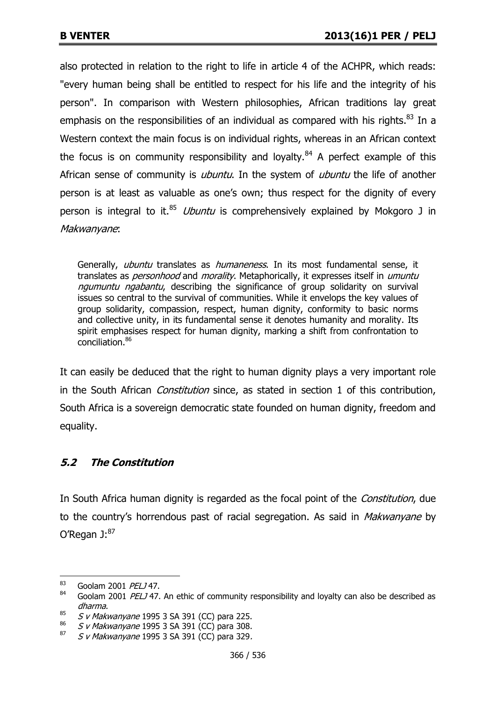also protected in relation to the right to life in article 4 of the ACHPR, which reads: "every human being shall be entitled to respect for his life and the integrity of his person". In comparison with Western philosophies, African traditions lay great emphasis on the responsibilities of an individual as compared with his rights.<sup>83</sup> In a Western context the main focus is on individual rights, whereas in an African context the focus is on community responsibility and loyalty. $84$  A perfect example of this African sense of community is *ubuntu*. In the system of *ubuntu* the life of another person is at least as valuable as one's own; thus respect for the dignity of every person is integral to it. $85$  *Ubuntu* is comprehensively explained by Mokgoro J in Makwanyane:

Generally, *ubuntu* translates as *humaneness*. In its most fundamental sense, it translates as *personhood* and *morality*. Metaphorically, it expresses itself in *umuntu* ngumuntu ngabantu, describing the significance of group solidarity on survival issues so central to the survival of communities. While it envelops the key values of group solidarity, compassion, respect, human dignity, conformity to basic norms and collective unity, in its fundamental sense it denotes humanity and morality. Its spirit emphasises respect for human dignity, marking a shift from confrontation to conciliation.<sup>86</sup>

It can easily be deduced that the right to human dignity plays a very important role in the South African *Constitution* since, as stated in section 1 of this contribution, South Africa is a sovereign democratic state founded on human dignity, freedom and equality.

# **5.2 The Constitution**

In South Africa human dignity is regarded as the focal point of the *Constitution*, due to the country's horrendous past of racial segregation. As said in *Makwanyane* by O'Regan J:<sup>87</sup>

<sup>83</sup> Goolam 2001 PELJ 47.

 $84$  Goolam 2001 PELJ 47. An ethic of community responsibility and loyalty can also be described as dharma.

<sup>85</sup> S v Makwanyane 1995 3 SA 391 (CC) para 225.

 $^{86}$  S v Makwanyane 1995 3 SA 391 (CC) para 308.<br> $^{87}$  S v Makwanyane 1995 3 SA 391 (CC) para 329.

S v Makwanyane 1995 3 SA 391 (CC) para 329.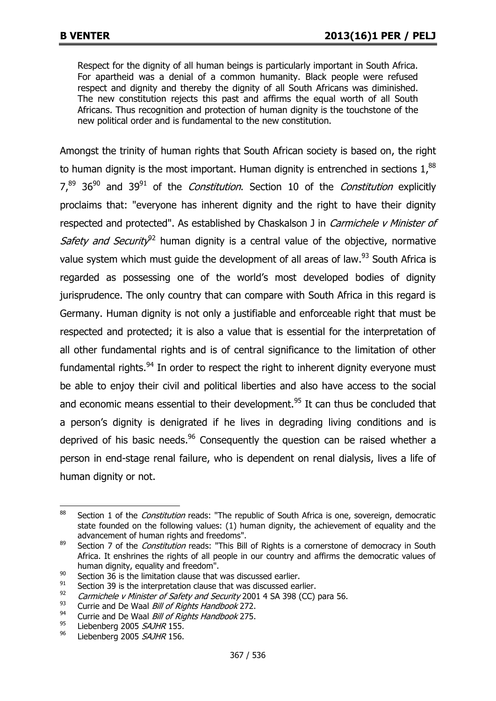Respect for the dignity of all human beings is particularly important in South Africa. For apartheid was a denial of a common humanity. Black people were refused respect and dignity and thereby the dignity of all South Africans was diminished. The new constitution rejects this past and affirms the equal worth of all South Africans. Thus recognition and protection of human dignity is the touchstone of the new political order and is fundamental to the new constitution.

Amongst the trinity of human rights that South African society is based on, the right to human dignity is the most important. Human dignity is entrenched in sections  $1,^{88}$  $7<sup>89</sup>$  36<sup>90</sup> and 39<sup>91</sup> of the *Constitution*. Section 10 of the *Constitution* explicitly proclaims that: "everyone has inherent dignity and the right to have their dignity respected and protected". As established by Chaskalson J in *Carmichele v Minister of* Safety and Security<sup>92</sup> human dignity is a central value of the objective, normative value system which must guide the development of all areas of law.<sup>93</sup> South Africa is regarded as possessing one of the world's most developed bodies of dianity jurisprudence. The only country that can compare with South Africa in this regard is Germany. Human dignity is not only a justifiable and enforceable right that must be respected and protected; it is also a value that is essential for the interpretation of all other fundamental rights and is of central significance to the limitation of other fundamental rights.<sup>94</sup> In order to respect the right to inherent dignity everyone must be able to enjoy their civil and political liberties and also have access to the social and economic means essential to their development.<sup>95</sup> It can thus be concluded that a person's dignity is denigrated if he lives in degrading living conditions and is deprived of his basic needs. $96$  Consequently the question can be raised whether a person in end-stage renal failure, who is dependent on renal dialysis, lives a life of human dignity or not.

<sup>88</sup> Section 1 of the *Constitution* reads: "The republic of South Africa is one, sovereign, democratic state founded on the following values: (1) human dignity, the achievement of equality and the advancement of human rights and freedoms".

<sup>&</sup>lt;sup>89</sup> Section 7 of the *Constitution* reads: "This Bill of Rights is a cornerstone of democracy in South Africa. It enshrines the rights of all people in our country and affirms the democratic values of human dignity, equality and freedom".

<sup>90</sup> Section 36 is the limitation clause that was discussed earlier.<br> $\frac{91}{2}$  Section 39 is the interpretation clause that was discussed earlier.

<sup>&</sup>lt;sup>91</sup> Section 39 is the interpretation clause that was discussed earlier.

<sup>&</sup>lt;sup>92</sup> Carmichele v Minister of Safety and Security 2001 4 SA 398 (CC) para 56.

<sup>&</sup>lt;sup>93</sup> Currie and De Waal *Bill of Rights Handbook* 272.

<sup>&</sup>lt;sup>94</sup> Currie and De Waal *Bill of Rights Handbook* 275.

 $^{95}$  Liebenberg 2005 *SAJHR* 155.

Liebenberg 2005 SAJHR 156.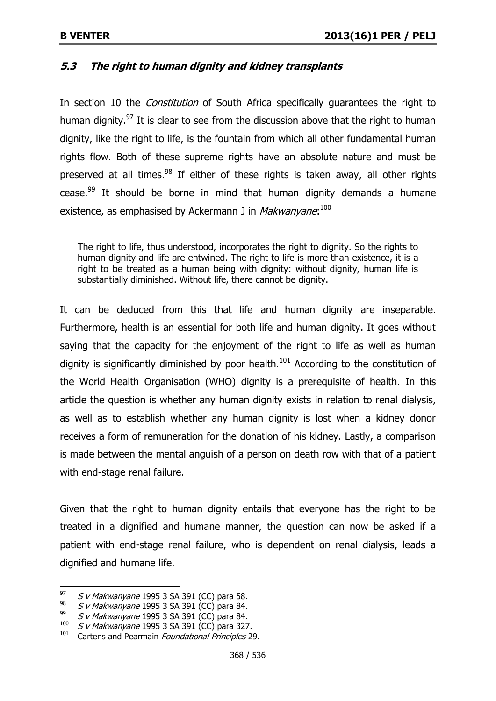# **5.3 The right to human dignity and kidney transplants**

In section 10 the *Constitution* of South Africa specifically quarantees the right to human dignity.<sup>97</sup> It is clear to see from the discussion above that the right to human dignity, like the right to life, is the fountain from which all other fundamental human rights flow. Both of these supreme rights have an absolute nature and must be preserved at all times.<sup>98</sup> If either of these rights is taken away, all other rights cease. $99$  It should be borne in mind that human dignity demands a humane existence, as emphasised by Ackermann J in *Makwanyane*: 100

The right to life, thus understood, incorporates the right to dignity. So the rights to human dignity and life are entwined. The right to life is more than existence, it is a right to be treated as a human being with dignity: without dignity, human life is substantially diminished. Without life, there cannot be dignity.

It can be deduced from this that life and human dignity are inseparable. Furthermore, health is an essential for both life and human dignity. It goes without saying that the capacity for the enjoyment of the right to life as well as human dignity is significantly diminished by poor health.<sup>101</sup> According to the constitution of the World Health Organisation (WHO) dignity is a prerequisite of health. In this article the question is whether any human dignity exists in relation to renal dialysis, as well as to establish whether any human dignity is lost when a kidney donor receives a form of remuneration for the donation of his kidney. Lastly, a comparison is made between the mental anguish of a person on death row with that of a patient with end-stage renal failure.

Given that the right to human dignity entails that everyone has the right to be treated in a dignified and humane manner, the question can now be asked if a patient with end-stage renal failure, who is dependent on renal dialysis, leads a dignified and humane life.

<sup>97</sup> S v Makwanyane 1995 3 SA 391 (CC) para 58.

 $^{98}$  S v Makwanyane 1995 3 SA 391 (CC) para 84.

<sup>99</sup> S v Makwanyane 1995 3 SA 391 (CC) para 84.

 $100$  S v Makwanyane 1995 3 SA 391 (CC) para 327.

Cartens and Pearmain Foundational Principles 29.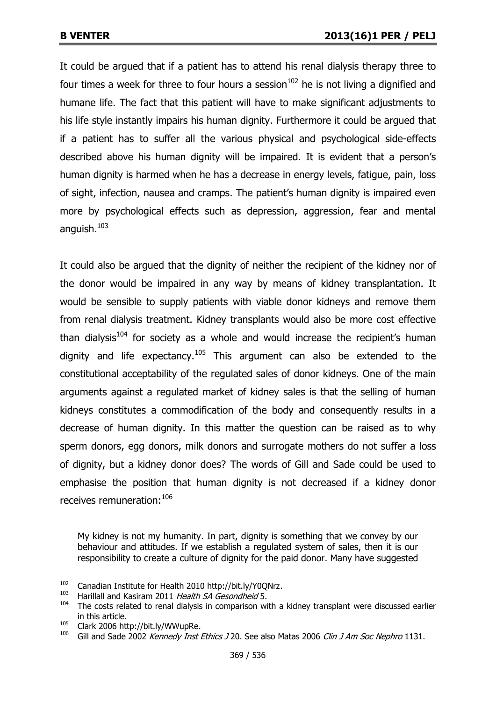It could be argued that if a patient has to attend his renal dialysis therapy three to four times a week for three to four hours a session $102$  he is not living a dignified and humane life. The fact that this patient will have to make significant adjustments to his life style instantly impairs his human dignity. Furthermore it could be argued that if a patient has to suffer all the various physical and psychological side-effects described above his human dignity will be impaired. It is evident that a person's human dignity is harmed when he has a decrease in energy levels, fatigue, pain, loss of sight, infection, nausea and cramps. The patient's human dignity is impaired even more by psychological effects such as depression, aggression, fear and mental anguish. $103$ 

It could also be argued that the dignity of neither the recipient of the kidney nor of the donor would be impaired in any way by means of kidney transplantation. It would be sensible to supply patients with viable donor kidneys and remove them from renal dialysis treatment. Kidney transplants would also be more cost effective than dialysis $104$  for society as a whole and would increase the recipient's human dignity and life expectancy.<sup>105</sup> This argument can also be extended to the constitutional acceptability of the regulated sales of donor kidneys. One of the main arguments against a regulated market of kidney sales is that the selling of human kidneys constitutes a commodification of the body and consequently results in a decrease of human dignity. In this matter the question can be raised as to why sperm donors, egg donors, milk donors and surrogate mothers do not suffer a loss of dignity, but a kidney donor does? The words of Gill and Sade could be used to emphasise the position that human dignity is not decreased if a kidney donor receives remuneration: 106

My kidney is not my humanity. In part, dignity is something that we convey by our behaviour and attitudes. If we establish a regulated system of sales, then it is our responsibility to create a culture of dignity for the paid donor. Many have suggested

<sup>&</sup>lt;sup>102</sup> Canadian Institute for Health 2010 http://bit.ly/Y0QNrz.<br><sup>103</sup> Harillall and Kasiram 2011 Health SA Gesendheid 5

<sup>&</sup>lt;sup>103</sup> Harillall and Kasiram 2011 *Health SA Gesondheid* 5.

The costs related to renal dialysis in comparison with a kidney transplant were discussed earlier in this article.

 $^{105}$  Clark 2006 http://bit.ly/WWupRe.

Gill and Sade 2002 Kennedy Inst Ethics J 20. See also Matas 2006 Clin J Am Soc Nephro 1131.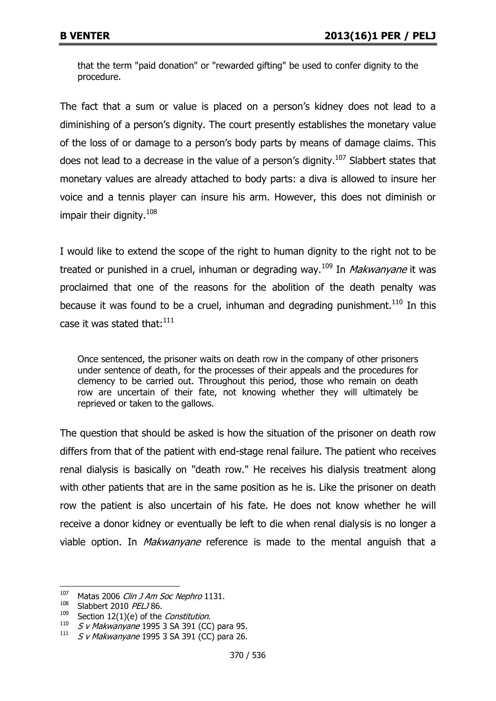that the term "paid donation" or "rewarded gifting" be used to confer dignity to the procedure.

The fact that a sum or value is placed on a person's kidney does not lead to a diminishing of a person's dignity. The court presently establishes the monetary value of the loss of or damage to a person's body parts by means of damage claims. This does not lead to a decrease in the value of a person's dignity.<sup>107</sup> Slabbert states that monetary values are already attached to body parts: a diva is allowed to insure her voice and a tennis player can insure his arm. However, this does not diminish or impair their dignity.<sup>108</sup>

I would like to extend the scope of the right to human dignity to the right not to be treated or punished in a cruel, inhuman or degrading way.<sup>109</sup> In *Makwanyane* it was proclaimed that one of the reasons for the abolition of the death penalty was because it was found to be a cruel, inhuman and degrading punishment.<sup>110</sup> In this case it was stated that: $^{111}$ 

Once sentenced, the prisoner waits on death row in the company of other prisoners under sentence of death, for the processes of their appeals and the procedures for clemency to be carried out. Throughout this period, those who remain on death row are uncertain of their fate, not knowing whether they will ultimately be reprieved or taken to the gallows.

The question that should be asked is how the situation of the prisoner on death row differs from that of the patient with end-stage renal failure. The patient who receives renal dialysis is basically on "death row." He receives his dialysis treatment along with other patients that are in the same position as he is. Like the prisoner on death row the patient is also uncertain of his fate. He does not know whether he will receive a donor kidney or eventually be left to die when renal dialysis is no longer a viable option. In *Makwanyane* reference is made to the mental anguish that a

 $107$  Matas 2006 *Clin J Am Soc Nephro* 1131.

 $^{108}$  Slabbert 2010 *PELJ* 86.<br> $^{109}$  Section 12(1)(e) of the

<sup>&</sup>lt;sup>109</sup> Section 12(1)(e) of the *Constitution*.

 $S$  v Makwanyane 1995 3 SA 391 (CC) para 95.

 $111 S V$  Makwanyane 1995 3 SA 391 (CC) para 26.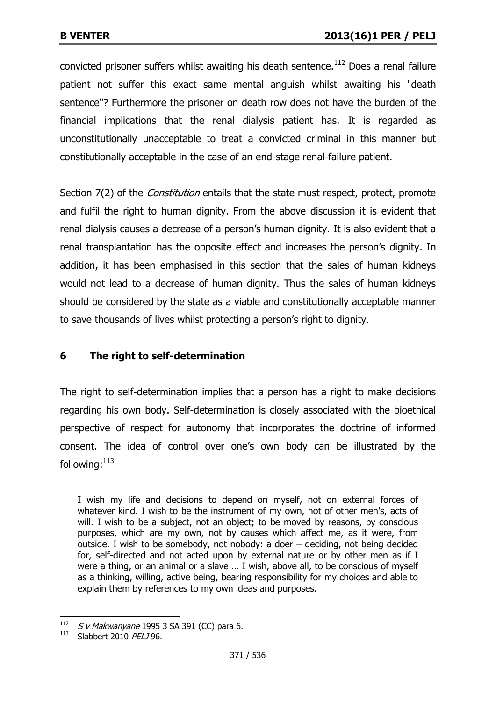convicted prisoner suffers whilst awaiting his death sentence.<sup>112</sup> Does a renal failure patient not suffer this exact same mental anguish whilst awaiting his "death sentence"? Furthermore the prisoner on death row does not have the burden of the financial implications that the renal dialysis patient has. It is regarded as unconstitutionally unacceptable to treat a convicted criminal in this manner but constitutionally acceptable in the case of an end-stage renal-failure patient.

Section 7(2) of the *Constitution* entails that the state must respect, protect, promote and fulfil the right to human dignity. From the above discussion it is evident that renal dialysis causes a decrease of a person's human dignity. It is also evident that a renal transplantation has the opposite effect and increases the person's dignity. In addition, it has been emphasised in this section that the sales of human kidneys would not lead to a decrease of human dignity. Thus the sales of human kidneys should be considered by the state as a viable and constitutionally acceptable manner to save thousands of lives whilst protecting a person's right to dignity.

#### **6 The right to self-determination**

The right to self-determination implies that a person has a right to make decisions regarding his own body. Self-determination is closely associated with the bioethical perspective of respect for autonomy that incorporates the doctrine of informed consent. The idea of control over one's own body can be illustrated by the following:  $^{113}$ 

I wish my life and decisions to depend on myself, not on external forces of whatever kind. I wish to be the instrument of my own, not of other men's, acts of will. I wish to be a subject, not an object; to be moved by reasons, by conscious purposes, which are my own, not by causes which affect me, as it were, from outside. I wish to be somebody, not nobody: a doer – deciding, not being decided for, self-directed and not acted upon by external nature or by other men as if I were a thing, or an animal or a slave … I wish, above all, to be conscious of myself as a thinking, willing, active being, bearing responsibility for my choices and able to explain them by references to my own ideas and purposes.

<sup>112</sup>  $112$  S v Makwanyane 1995 3 SA 391 (CC) para 6.<br> $113$  Slabbert 2010 *PEL* 196

Slabbert 2010 PELJ 96.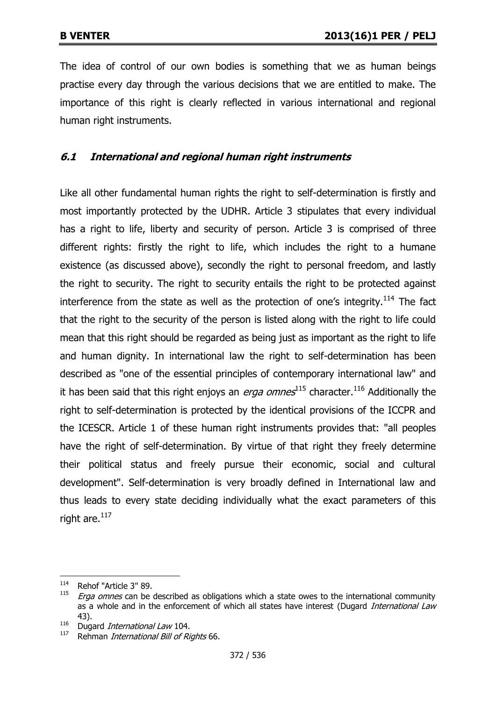The idea of control of our own bodies is something that we as human beings practise every day through the various decisions that we are entitled to make. The importance of this right is clearly reflected in various international and regional human right instruments.

# **6.1 International and regional human right instruments**

Like all other fundamental human rights the right to self-determination is firstly and most importantly protected by the UDHR. Article 3 stipulates that every individual has a right to life, liberty and security of person. Article 3 is comprised of three different rights: firstly the right to life, which includes the right to a humane existence (as discussed above), secondly the right to personal freedom, and lastly the right to security. The right to security entails the right to be protected against interference from the state as well as the protection of one's integrity.<sup>114</sup> The fact that the right to the security of the person is listed along with the right to life could mean that this right should be regarded as being just as important as the right to life and human dignity. In international law the right to self-determination has been described as "one of the essential principles of contemporary international law" and it has been said that this right enjoys an *erga omnes*<sup>115</sup> character.<sup>116</sup> Additionally the right to self-determination is protected by the identical provisions of the ICCPR and the ICESCR. Article 1 of these human right instruments provides that: "all peoples have the right of self-determination. By virtue of that right they freely determine their political status and freely pursue their economic, social and cultural development". Self-determination is very broadly defined in International law and thus leads to every state deciding individually what the exact parameters of this right are. $^{117}$ 

 $114$  Rehof "Article 3" 89.

Erga omnes can be described as obligations which a state owes to the international community as a whole and in the enforcement of which all states have interest (Dugard International Law 43).

<sup>&</sup>lt;sup>116</sup> Dugard *International Law* 104.

Rehman International Bill of Rights 66.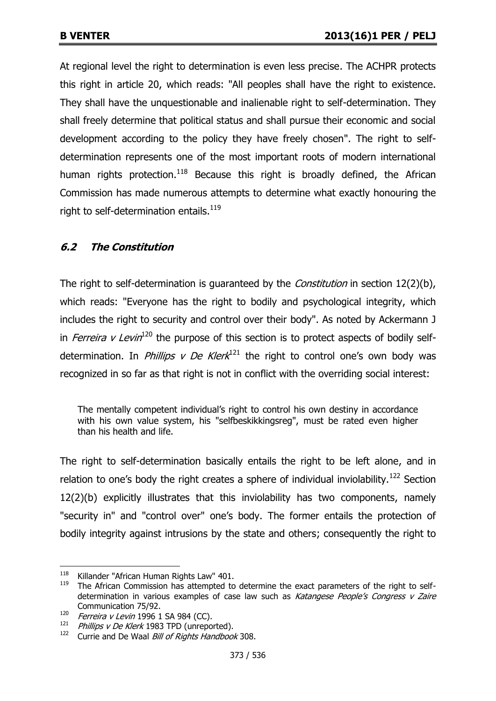At regional level the right to determination is even less precise. The ACHPR protects this right in article 20, which reads: "All peoples shall have the right to existence. They shall have the unquestionable and inalienable right to self-determination. They shall freely determine that political status and shall pursue their economic and social development according to the policy they have freely chosen". The right to selfdetermination represents one of the most important roots of modern international human rights protection.<sup>118</sup> Because this right is broadly defined, the African Commission has made numerous attempts to determine what exactly honouring the right to self-determination entails.<sup>119</sup>

# **6.2 The Constitution**

The right to self-determination is guaranteed by the *Constitution* in section 12(2)(b), which reads: "Everyone has the right to bodily and psychological integrity, which includes the right to security and control over their body". As noted by Ackermann J in *Ferreira v Levin*<sup>120</sup> the purpose of this section is to protect aspects of bodily selfdetermination. In *Phillips v De Klerk*<sup>121</sup> the right to control one's own body was recognized in so far as that right is not in conflict with the overriding social interest:

The mentally competent individual's right to control his own destiny in accordance with his own value system, his "selfbeskikkingsreg", must be rated even higher than his health and life.

The right to self-determination basically entails the right to be left alone, and in relation to one's body the right creates a sphere of individual inviolability.<sup>122</sup> Section 12(2)(b) explicitly illustrates that this inviolability has two components, namely "security in" and "control over" one's body. The former entails the protection of bodily integrity against intrusions by the state and others; consequently the right to

<sup>118</sup> Killander "African Human Rights Law" 401.

 $119$  The African Commission has attempted to determine the exact parameters of the right to selfdetermination in various examples of case law such as Katangese People's Congress v Zaire Communication 75/92.

<sup>&</sup>lt;sup>120</sup> Ferreira v Levin 1996 1 SA 984 (CC).

<sup>&</sup>lt;sup>121</sup> *Phillips v De Klerk* 1983 TPD (unreported).

Currie and De Waal Bill of Rights Handbook 308.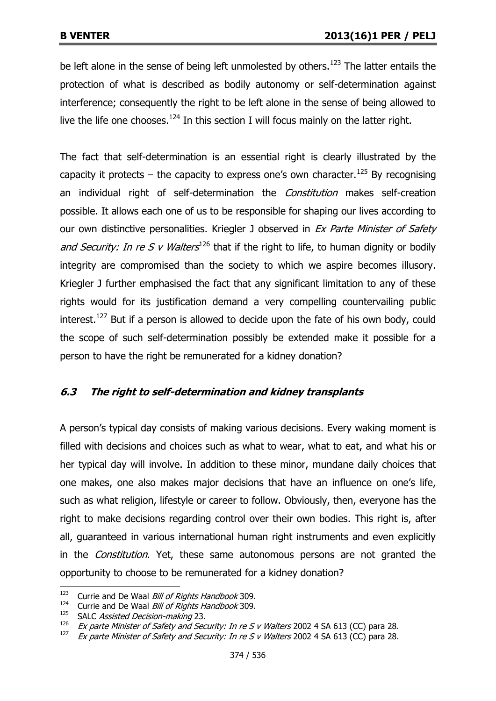be left alone in the sense of being left unmolested by others.<sup>123</sup> The latter entails the protection of what is described as bodily autonomy or self-determination against interference; consequently the right to be left alone in the sense of being allowed to live the life one chooses.<sup>124</sup> In this section I will focus mainly on the latter right.

The fact that self-determination is an essential right is clearly illustrated by the capacity it protects – the capacity to express one's own character.<sup>125</sup> By recognising an individual right of self-determination the *Constitution* makes self-creation possible. It allows each one of us to be responsible for shaping our lives according to our own distinctive personalities. Kriegler J observed in Ex Parte Minister of Safety and Security: In re S v Walters<sup>126</sup> that if the right to life, to human dignity or bodily integrity are compromised than the society to which we aspire becomes illusory. Kriegler J further emphasised the fact that any significant limitation to any of these rights would for its justification demand a very compelling countervailing public interest.<sup>127</sup> But if a person is allowed to decide upon the fate of his own body, could the scope of such self-determination possibly be extended make it possible for a person to have the right be remunerated for a kidney donation?

# **6.3 The right to self-determination and kidney transplants**

A person's typical day consists of making various decisions. Every waking moment is filled with decisions and choices such as what to wear, what to eat, and what his or her typical day will involve. In addition to these minor, mundane daily choices that one makes, one also makes major decisions that have an influence on one's life, such as what religion, lifestyle or career to follow. Obviously, then, everyone has the right to make decisions regarding control over their own bodies. This right is, after all, guaranteed in various international human right instruments and even explicitly in the *Constitution*. Yet, these same autonomous persons are not granted the opportunity to choose to be remunerated for a kidney donation?

<sup>&</sup>lt;sup>123</sup> Currie and De Waal *Bill of Rights Handbook* 309.

<sup>&</sup>lt;sup>124</sup> Currie and De Waal *Bill of Rights Handbook* 309.

<sup>&</sup>lt;sup>125</sup> SALC *Assisted Decision-making* 23.<br><sup>126</sup> Ev parte Minister of Safety and See

<sup>&</sup>lt;sup>126</sup> Ex parte Minister of Safety and Security: In re S v Walters 2002 4 SA 613 (CC) para 28.<br><sup>127</sup> Ex parte Minister of Safety and Security: In re S v Walters 2002 4 SA 613 (CC) para 28.

Ex parte Minister of Safety and Security: In re S v Walters 2002 4 SA 613 (CC) para 28.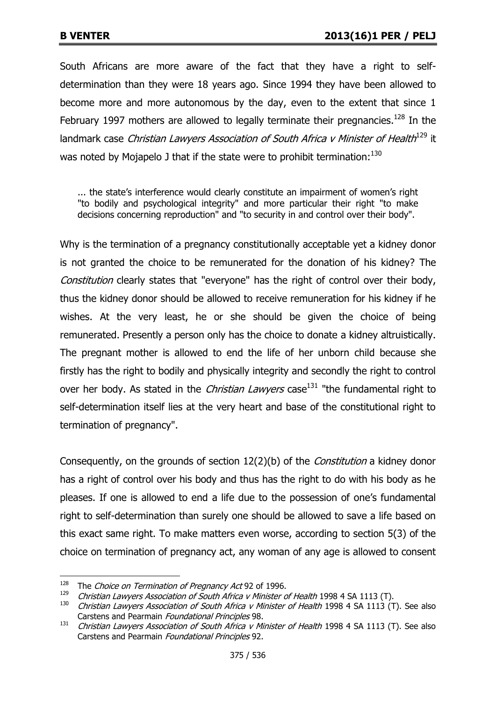South Africans are more aware of the fact that they have a right to selfdetermination than they were 18 years ago. Since 1994 they have been allowed to become more and more autonomous by the day, even to the extent that since 1 February 1997 mothers are allowed to legally terminate their pregnancies.<sup>128</sup> In the landmark case *Christian Lawyers Association of South Africa v Minister of Health*<sup>129</sup> it was noted by Mojapelo J that if the state were to prohibit termination: $^{130}$ 

... the state's interference would clearly constitute an impairment of women's right "to bodily and psychological integrity" and more particular their right "to make decisions concerning reproduction" and "to security in and control over their body".

Why is the termination of a pregnancy constitutionally acceptable yet a kidney donor is not granted the choice to be remunerated for the donation of his kidney? The Constitution clearly states that "everyone" has the right of control over their body, thus the kidney donor should be allowed to receive remuneration for his kidney if he wishes. At the very least, he or she should be given the choice of being remunerated. Presently a person only has the choice to donate a kidney altruistically. The pregnant mother is allowed to end the life of her unborn child because she firstly has the right to bodily and physically integrity and secondly the right to control over her body. As stated in the *Christian Lawyers* case<sup>131</sup> "the fundamental right to self-determination itself lies at the very heart and base of the constitutional right to termination of pregnancy".

Consequently, on the grounds of section 12(2)(b) of the *Constitution* a kidney donor has a right of control over his body and thus has the right to do with his body as he pleases. If one is allowed to end a life due to the possession of one's fundamental right to self-determination than surely one should be allowed to save a life based on this exact same right. To make matters even worse, according to section 5(3) of the choice on termination of pregnancy act, any woman of any age is allowed to consent

<sup>&</sup>lt;sup>128</sup> The *Choice on Termination of Pregnancy Act* 92 of 1996.

<sup>&</sup>lt;sup>129</sup> Christian Lawyers Association of South Africa v Minister of Health 1998 4 SA 1113 (T).

Christian Lawyers Association of South Africa v Minister of Health 1998 4 SA 1113 (T). See also Carstens and Pearmain Foundational Principles 98.

<sup>131</sup> Christian Lawyers Association of South Africa v Minister of Health 1998 4 SA 1113 (T). See also Carstens and Pearmain Foundational Principles 92.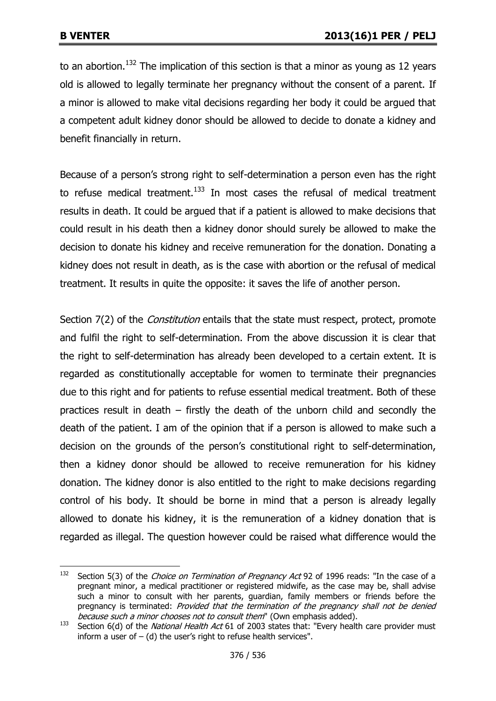to an abortion.<sup>132</sup> The implication of this section is that a minor as young as 12 years old is allowed to legally terminate her pregnancy without the consent of a parent. If a minor is allowed to make vital decisions regarding her body it could be argued that a competent adult kidney donor should be allowed to decide to donate a kidney and benefit financially in return.

Because of a person's strong right to self-determination a person even has the right to refuse medical treatment.<sup>133</sup> In most cases the refusal of medical treatment results in death. It could be argued that if a patient is allowed to make decisions that could result in his death then a kidney donor should surely be allowed to make the decision to donate his kidney and receive remuneration for the donation. Donating a kidney does not result in death, as is the case with abortion or the refusal of medical treatment. It results in quite the opposite: it saves the life of another person.

Section 7(2) of the *Constitution* entails that the state must respect, protect, promote and fulfil the right to self-determination. From the above discussion it is clear that the right to self-determination has already been developed to a certain extent. It is regarded as constitutionally acceptable for women to terminate their pregnancies due to this right and for patients to refuse essential medical treatment. Both of these practices result in death – firstly the death of the unborn child and secondly the death of the patient. I am of the opinion that if a person is allowed to make such a decision on the grounds of the person's constitutional right to self-determination, then a kidney donor should be allowed to receive remuneration for his kidney donation. The kidney donor is also entitled to the right to make decisions regarding control of his body. It should be borne in mind that a person is already legally allowed to donate his kidney, it is the remuneration of a kidney donation that is regarded as illegal. The question however could be raised what difference would the

<sup>132</sup> Section 5(3) of the Choice on Termination of Pregnancy Act 92 of 1996 reads: "In the case of a pregnant minor, a medical practitioner or registered midwife, as the case may be, shall advise such a minor to consult with her parents, guardian, family members or friends before the pregnancy is terminated: *Provided that the termination of the pregnancy shall not be denied* because such a minor chooses not to consult them" (Own emphasis added).

<sup>133</sup> Section 6(d) of the *National Health Act* 61 of 2003 states that: "Every health care provider must inform a user of  $-$  (d) the user's right to refuse health services".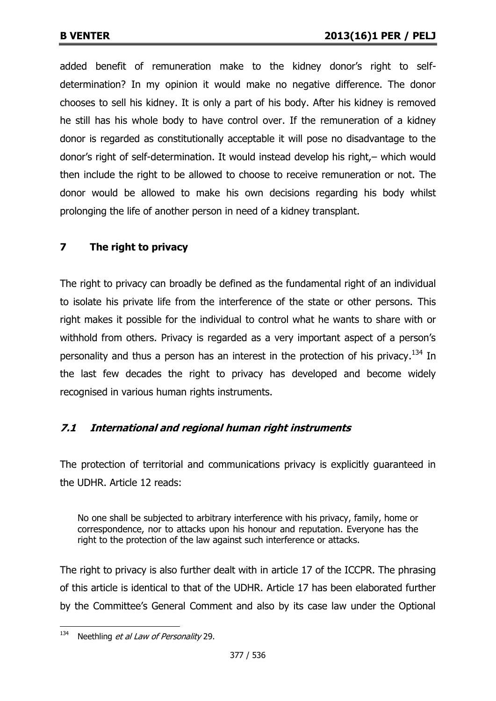added benefit of remuneration make to the kidney donor's right to selfdetermination? In my opinion it would make no negative difference. The donor chooses to sell his kidney. It is only a part of his body. After his kidney is removed he still has his whole body to have control over. If the remuneration of a kidney donor is regarded as constitutionally acceptable it will pose no disadvantage to the donor's right of self-determination. It would instead develop his right,– which would then include the right to be allowed to choose to receive remuneration or not. The donor would be allowed to make his own decisions regarding his body whilst prolonging the life of another person in need of a kidney transplant.

# **7 The right to privacy**

The right to privacy can broadly be defined as the fundamental right of an individual to isolate his private life from the interference of the state or other persons. This right makes it possible for the individual to control what he wants to share with or withhold from others. Privacy is regarded as a very important aspect of a person's personality and thus a person has an interest in the protection of his privacy.<sup>134</sup> In the last few decades the right to privacy has developed and become widely recognised in various human rights instruments.

# **7.1 International and regional human right instruments**

The protection of territorial and communications privacy is explicitly guaranteed in the UDHR. Article 12 reads:

No one shall be subjected to arbitrary interference with his privacy, family, home or correspondence, nor to attacks upon his honour and reputation. Everyone has the right to the protection of the law against such interference or attacks.

The right to privacy is also further dealt with in article 17 of the ICCPR. The phrasing of this article is identical to that of the UDHR. Article 17 has been elaborated further by the Committee's General Comment and also by its case law under the Optional

<sup>134</sup> Neethling et al Law of Personality 29.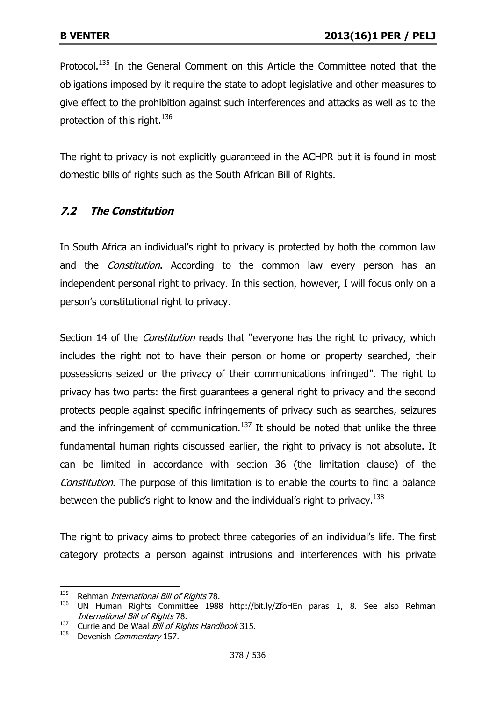Protocol.<sup>135</sup> In the General Comment on this Article the Committee noted that the obligations imposed by it require the state to adopt legislative and other measures to give effect to the prohibition against such interferences and attacks as well as to the protection of this right. $136$ 

The right to privacy is not explicitly guaranteed in the ACHPR but it is found in most domestic bills of rights such as the South African Bill of Rights.

# **7.2 The Constitution**

In South Africa an individual's right to privacy is protected by both the common law and the *Constitution*. According to the common law every person has an independent personal right to privacy. In this section, however, I will focus only on a person's constitutional right to privacy.

Section 14 of the *Constitution* reads that "everyone has the right to privacy, which includes the right not to have their person or home or property searched, their possessions seized or the privacy of their communications infringed". The right to privacy has two parts: the first guarantees a general right to privacy and the second protects people against specific infringements of privacy such as searches, seizures and the infringement of communication.<sup>137</sup> It should be noted that unlike the three fundamental human rights discussed earlier, the right to privacy is not absolute. It can be limited in accordance with section 36 (the limitation clause) of the Constitution. The purpose of this limitation is to enable the courts to find a balance between the public's right to know and the individual's right to privacy.<sup>138</sup>

The right to privacy aims to protect three categories of an individual's life. The first category protects a person against intrusions and interferences with his private

 $135$  Rehman *International Bill of Rights* 78.

<sup>136</sup> UN Human Rights Committee 1988 http://bit.ly/ZfoHEn paras 1, 8. See also Rehman International Bill of Rights 78.

<sup>&</sup>lt;sup>137</sup> Currie and De Waal *Bill of Rights Handbook* 315.

Devenish Commentary 157.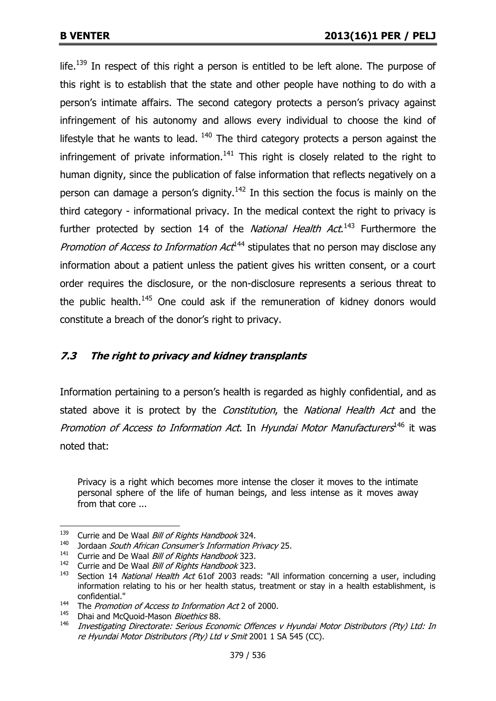life.<sup>139</sup> In respect of this right a person is entitled to be left alone. The purpose of this right is to establish that the state and other people have nothing to do with a person's intimate affairs. The second category protects a person's privacy against infringement of his autonomy and allows every individual to choose the kind of lifestyle that he wants to lead.  $140$  The third category protects a person against the infringement of private information.<sup>141</sup> This right is closely related to the right to human dignity, since the publication of false information that reflects negatively on a person can damage a person's dignity.<sup>142</sup> In this section the focus is mainly on the third category - informational privacy. In the medical context the right to privacy is further protected by section 14 of the *National Health Act*.<sup>143</sup> Furthermore the Promotion of Access to Information Act<sup>144</sup> stipulates that no person may disclose any information about a patient unless the patient gives his written consent, or a court order requires the disclosure, or the non-disclosure represents a serious threat to the public health. $145$  One could ask if the remuneration of kidney donors would constitute a breach of the donor's right to privacy.

# **7.3 The right to privacy and kidney transplants**

Information pertaining to a person's health is regarded as highly confidential, and as stated above it is protect by the *Constitution*, the National Health Act and the *Promotion of Access to Information Act*. In *Hyundai Motor Manufacturers*<sup>146</sup> it was noted that:

Privacy is a right which becomes more intense the closer it moves to the intimate personal sphere of the life of human beings, and less intense as it moves away from that core ...

<sup>139</sup> <sup>139</sup> Currie and De Waal *Bill of Rights Handbook* 324.

<sup>&</sup>lt;sup>140</sup> Jordaan *South African Consumer's Information Privacy* 25.<br><sup>141</sup> Currie and Do Waal *Bill of Bights Handbook* 222

<sup>&</sup>lt;sup>141</sup> Currie and De Waal *Bill of Rights Handbook* 323.

 $142$  Currie and De Waal *Bill of Rights Handbook* 323.<br> $143$  Soction 14 National Haalth Act 61of 2002 road

Section 14 National Health Act 61of 2003 reads: "All information concerning a user, including information relating to his or her health status, treatment or stay in a health establishment, is confidential."

<sup>&</sup>lt;sup>144</sup> The *Promotion of Access to Information Act* 2 of 2000.

 $145$  Dhai and McQuoid-Mason *Bioethics* 88.

<sup>146</sup> Investigating Directorate: Serious Economic Offences v Hyundai Motor Distributors (Pty) Ltd: In re Hyundai Motor Distributors (Pty) Ltd v Smit 2001 1 SA 545 (CC).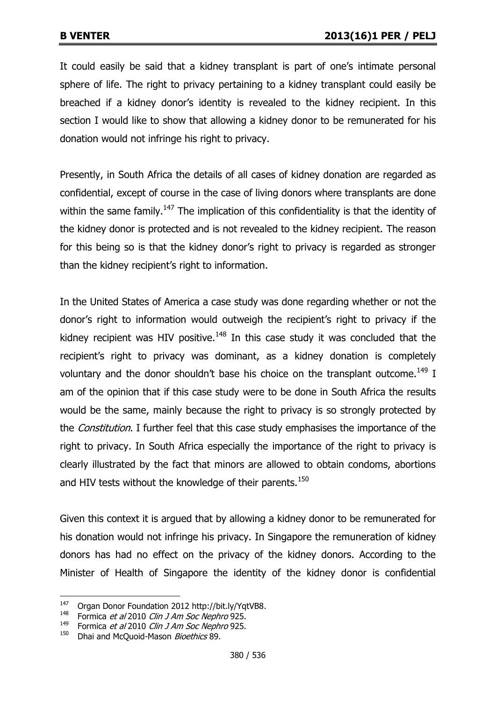It could easily be said that a kidney transplant is part of one's intimate personal sphere of life. The right to privacy pertaining to a kidney transplant could easily be breached if a kidney donor's identity is revealed to the kidney recipient. In this section I would like to show that allowing a kidney donor to be remunerated for his donation would not infringe his right to privacy.

Presently, in South Africa the details of all cases of kidney donation are regarded as confidential, except of course in the case of living donors where transplants are done within the same family.<sup>147</sup> The implication of this confidentiality is that the identity of the kidney donor is protected and is not revealed to the kidney recipient. The reason for this being so is that the kidney donor's right to privacy is regarded as stronger than the kidney recipient's right to information.

In the United States of America a case study was done regarding whether or not the donor's right to information would outweigh the recipient's right to privacy if the kidney recipient was HIV positive. $148$  In this case study it was concluded that the recipient's right to privacy was dominant, as a kidney donation is completely voluntary and the donor shouldn't base his choice on the transplant outcome.<sup>149</sup> I am of the opinion that if this case study were to be done in South Africa the results would be the same, mainly because the right to privacy is so strongly protected by the *Constitution*. I further feel that this case study emphasises the importance of the right to privacy. In South Africa especially the importance of the right to privacy is clearly illustrated by the fact that minors are allowed to obtain condoms, abortions and HIV tests without the knowledge of their parents.<sup>150</sup>

Given this context it is argued that by allowing a kidney donor to be remunerated for his donation would not infringe his privacy. In Singapore the remuneration of kidney donors has had no effect on the privacy of the kidney donors. According to the Minister of Health of Singapore the identity of the kidney donor is confidential

<sup>&</sup>lt;sup>147</sup> Organ Donor Foundation 2012 http://bit.ly/YqtVB8.

<sup>&</sup>lt;sup>148</sup> Formica *et al* 2010 *Clin J Am Soc Nephro* 925.

<sup>&</sup>lt;sup>149</sup> Formica *et al* 2010 *Clin J Am Soc Nephro* 925.

Dhai and McQuoid-Mason Bioethics 89.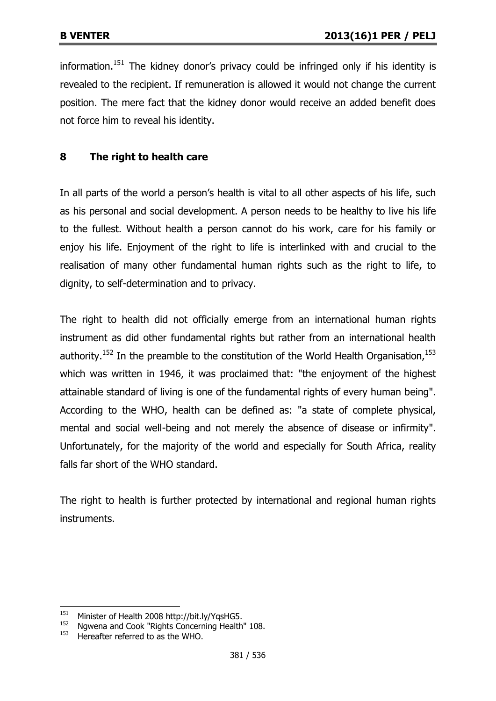information.<sup>151</sup> The kidney donor's privacy could be infringed only if his identity is revealed to the recipient. If remuneration is allowed it would not change the current position. The mere fact that the kidney donor would receive an added benefit does not force him to reveal his identity.

# **8 The right to health care**

In all parts of the world a person's health is vital to all other aspects of his life, such as his personal and social development. A person needs to be healthy to live his life to the fullest. Without health a person cannot do his work, care for his family or enjoy his life. Enjoyment of the right to life is interlinked with and crucial to the realisation of many other fundamental human rights such as the right to life, to dignity, to self-determination and to privacy.

The right to health did not officially emerge from an international human rights instrument as did other fundamental rights but rather from an international health authority.<sup>152</sup> In the preamble to the constitution of the World Health Organisation,<sup>153</sup> which was written in 1946, it was proclaimed that: "the enjoyment of the highest attainable standard of living is one of the fundamental rights of every human being". According to the WHO, health can be defined as: "a state of complete physical, mental and social well-being and not merely the absence of disease or infirmity". Unfortunately, for the majority of the world and especially for South Africa, reality falls far short of the WHO standard.

The right to health is further protected by international and regional human rights instruments.

<sup>&</sup>lt;sup>151</sup> Minister of Health 2008 http://bit.ly/YqsHG5.

<sup>&</sup>lt;sup>152</sup> Ngwena and Cook "Rights Concerning Health" 108.<br><sup>153</sup> Harsafter referred to as the WHO

Hereafter referred to as the WHO.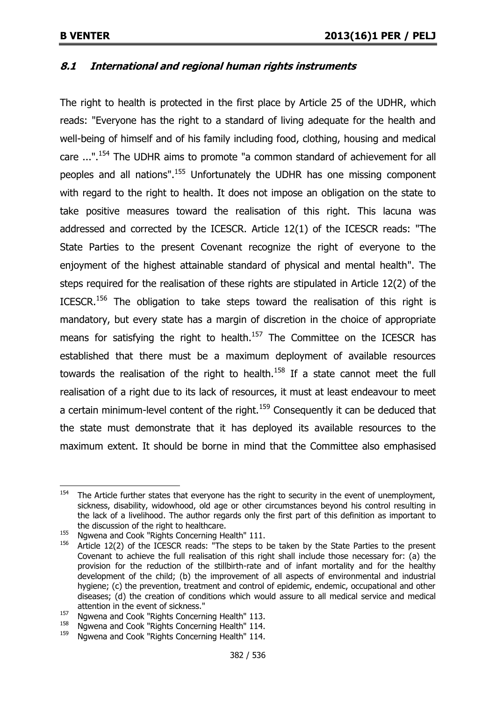# **8.1 International and regional human rights instruments**

The right to health is protected in the first place by Article 25 of the UDHR, which reads: "Everyone has the right to a standard of living adequate for the health and well-being of himself and of his family including food, clothing, housing and medical care ...".<sup>154</sup> The UDHR aims to promote "a common standard of achievement for all peoples and all nations".<sup>155</sup> Unfortunately the UDHR has one missing component with regard to the right to health. It does not impose an obligation on the state to take positive measures toward the realisation of this right. This lacuna was addressed and corrected by the ICESCR. Article 12(1) of the ICESCR reads: "The State Parties to the present Covenant recognize the right of everyone to the enjoyment of the highest attainable standard of physical and mental health". The steps required for the realisation of these rights are stipulated in Article 12(2) of the ICESCR.<sup>156</sup> The obligation to take steps toward the realisation of this right is mandatory, but every state has a margin of discretion in the choice of appropriate means for satisfying the right to health. $157$  The Committee on the ICESCR has established that there must be a maximum deployment of available resources towards the realisation of the right to health.<sup>158</sup> If a state cannot meet the full realisation of a right due to its lack of resources, it must at least endeavour to meet a certain minimum-level content of the right.<sup>159</sup> Consequently it can be deduced that the state must demonstrate that it has deployed its available resources to the maximum extent. It should be borne in mind that the Committee also emphasised

 $154$  The Article further states that everyone has the right to security in the event of unemployment, sickness, disability, widowhood, old age or other circumstances beyond his control resulting in the lack of a livelihood. The author regards only the first part of this definition as important to the discussion of the right to healthcare.

<sup>&</sup>lt;sup>155</sup> Ngwena and Cook "Rights Concerning Health" 111.<br><sup>156</sup> Article 12(2) of the JCESCP reade: "The steps to

Article 12(2) of the ICESCR reads: "The steps to be taken by the State Parties to the present Covenant to achieve the full realisation of this right shall include those necessary for: (a) the provision for the reduction of the stillbirth-rate and of infant mortality and for the healthy development of the child; (b) the improvement of all aspects of environmental and industrial hygiene; (c) the prevention, treatment and control of epidemic, endemic, occupational and other diseases; (d) the creation of conditions which would assure to all medical service and medical attention in the event of sickness."

<sup>&</sup>lt;sup>157</sup> Ngwena and Cook "Rights Concerning Health" 113.<br><sup>158</sup> Ngwena and Cook "Bights Concerning Health" 114.

<sup>&</sup>lt;sup>158</sup> Ngwena and Cook "Rights Concerning Health" 114.<br><sup>159</sup> Nguena and Cook "Pights Concerning Health" 114.

Ngwena and Cook "Rights Concerning Health" 114.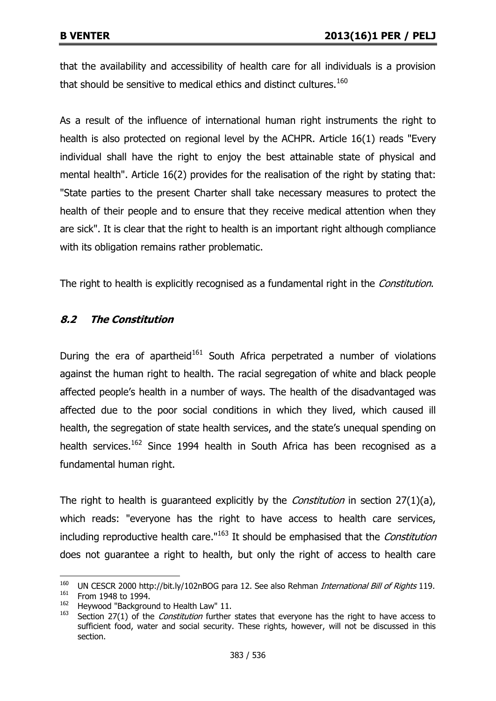that the availability and accessibility of health care for all individuals is a provision that should be sensitive to medical ethics and distinct cultures.<sup>160</sup>

As a result of the influence of international human right instruments the right to health is also protected on regional level by the ACHPR. Article 16(1) reads "Every individual shall have the right to enjoy the best attainable state of physical and mental health". Article 16(2) provides for the realisation of the right by stating that: "State parties to the present Charter shall take necessary measures to protect the health of their people and to ensure that they receive medical attention when they are sick". It is clear that the right to health is an important right although compliance with its obligation remains rather problematic.

The right to health is explicitly recognised as a fundamental right in the *Constitution*.

# **8.2 The Constitution**

During the era of apartheid<sup>161</sup> South Africa perpetrated a number of violations against the human right to health. The racial segregation of white and black people affected people's health in a number of ways. The health of the disadvantaged was affected due to the poor social conditions in which they lived, which caused ill health, the segregation of state health services, and the state's unequal spending on health services.<sup>162</sup> Since 1994 health in South Africa has been recognised as a fundamental human right.

The right to health is guaranteed explicitly by the *Constitution* in section  $27(1)(a)$ , which reads: "everyone has the right to have access to health care services, including reproductive health care."<sup>163</sup> It should be emphasised that the *Constitution* does not guarantee a right to health, but only the right of access to health care

<sup>&</sup>lt;sup>160</sup> UN CESCR 2000 http://bit.ly/102nBOG para 12. See also Rehman *International Bill of Rights* 119.<br><sup>161</sup> Erom 1948 to 1994

 $^{161}$  From 1948 to 1994. <sup>162</sup> Heywood "Background to Health Law" 11.<br><sup>163</sup> Soction 27(1) of the *Constitution further* 

Section 27(1) of the *Constitution* further states that everyone has the right to have access to sufficient food, water and social security. These rights, however, will not be discussed in this section.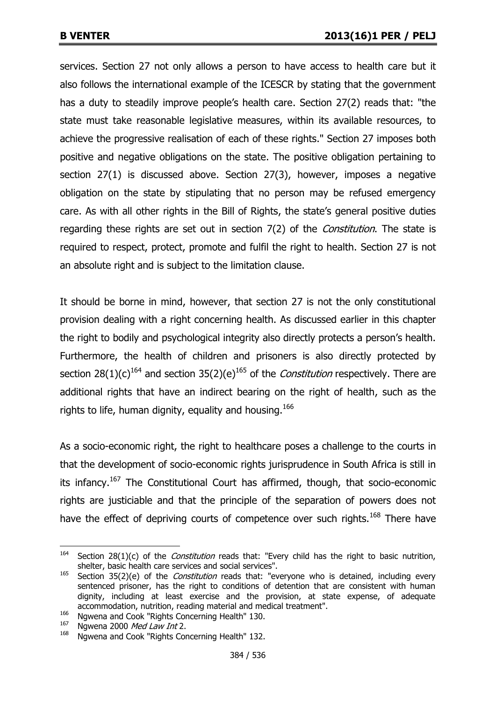services. Section 27 not only allows a person to have access to health care but it also follows the international example of the ICESCR by stating that the government has a duty to steadily improve people's health care. Section 27(2) reads that: "the state must take reasonable legislative measures, within its available resources, to achieve the progressive realisation of each of these rights." Section 27 imposes both positive and negative obligations on the state. The positive obligation pertaining to section 27(1) is discussed above. Section 27(3), however, imposes a negative obligation on the state by stipulating that no person may be refused emergency care. As with all other rights in the Bill of Rights, the state's general positive duties regarding these rights are set out in section 7(2) of the *Constitution*. The state is required to respect, protect, promote and fulfil the right to health. Section 27 is not an absolute right and is subject to the limitation clause.

It should be borne in mind, however, that section 27 is not the only constitutional provision dealing with a right concerning health. As discussed earlier in this chapter the right to bodily and psychological integrity also directly protects a person's health. Furthermore, the health of children and prisoners is also directly protected by section 28(1)(c)<sup>164</sup> and section 35(2)(e)<sup>165</sup> of the *Constitution* respectively. There are additional rights that have an indirect bearing on the right of health, such as the rights to life, human dignity, equality and housing.<sup>166</sup>

As a socio-economic right, the right to healthcare poses a challenge to the courts in that the development of socio-economic rights jurisprudence in South Africa is still in its infancy.<sup>167</sup> The Constitutional Court has affirmed, though, that socio-economic rights are justiciable and that the principle of the separation of powers does not have the effect of depriving courts of competence over such rights.<sup>168</sup> There have

<sup>164</sup> Section 28(1)(c) of the *Constitution* reads that: "Every child has the right to basic nutrition, shelter, basic health care services and social services".

<sup>165</sup> Section 35(2)(e) of the *Constitution* reads that: "everyone who is detained, including every sentenced prisoner, has the right to conditions of detention that are consistent with human dignity, including at least exercise and the provision, at state expense, of adequate accommodation, nutrition, reading material and medical treatment".

<sup>&</sup>lt;sup>166</sup> Ngwena and Cook "Rights Concerning Health" 130.

 $^{167}$  Ngwena 2000 *Med Law Int* 2.

Ngwena and Cook "Rights Concerning Health" 132.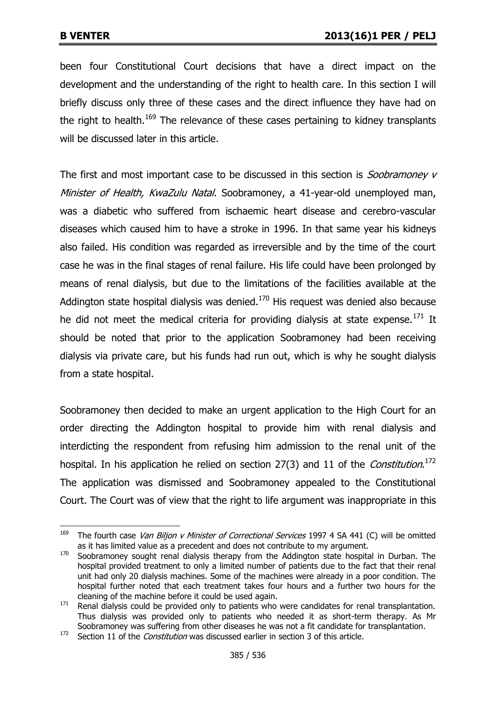been four Constitutional Court decisions that have a direct impact on the development and the understanding of the right to health care. In this section I will briefly discuss only three of these cases and the direct influence they have had on the right to health.<sup>169</sup> The relevance of these cases pertaining to kidney transplants will be discussed later in this article.

The first and most important case to be discussed in this section is *Soobramoney v* Minister of Health, KwaZulu Natal. Soobramoney, a 41-year-old unemployed man, was a diabetic who suffered from ischaemic heart disease and cerebro-vascular diseases which caused him to have a stroke in 1996. In that same year his kidneys also failed. His condition was regarded as irreversible and by the time of the court case he was in the final stages of renal failure. His life could have been prolonged by means of renal dialysis, but due to the limitations of the facilities available at the Addington state hospital dialysis was denied. $170$  His request was denied also because he did not meet the medical criteria for providing dialysis at state expense.<sup>171</sup> It should be noted that prior to the application Soobramoney had been receiving dialysis via private care, but his funds had run out, which is why he sought dialysis from a state hospital.

Soobramoney then decided to make an urgent application to the High Court for an order directing the Addington hospital to provide him with renal dialysis and interdicting the respondent from refusing him admission to the renal unit of the hospital. In his application he relied on section 27(3) and 11 of the Constitution.<sup>172</sup> The application was dismissed and Soobramoney appealed to the Constitutional Court. The Court was of view that the right to life argument was inappropriate in this

<sup>169</sup> The fourth case Van Biljon v Minister of Correctional Services 1997 4 SA 441 (C) will be omitted as it has limited value as a precedent and does not contribute to my argument.

<sup>170</sup> Soobramoney sought renal dialysis therapy from the Addington state hospital in Durban. The hospital provided treatment to only a limited number of patients due to the fact that their renal unit had only 20 dialysis machines. Some of the machines were already in a poor condition. The hospital further noted that each treatment takes four hours and a further two hours for the cleaning of the machine before it could be used again.

 $171$  Renal dialysis could be provided only to patients who were candidates for renal transplantation. Thus dialysis was provided only to patients who needed it as short-term therapy. As Mr Soobramoney was suffering from other diseases he was not a fit candidate for transplantation.

<sup>172</sup> Section 11 of the *Constitution* was discussed earlier in section 3 of this article.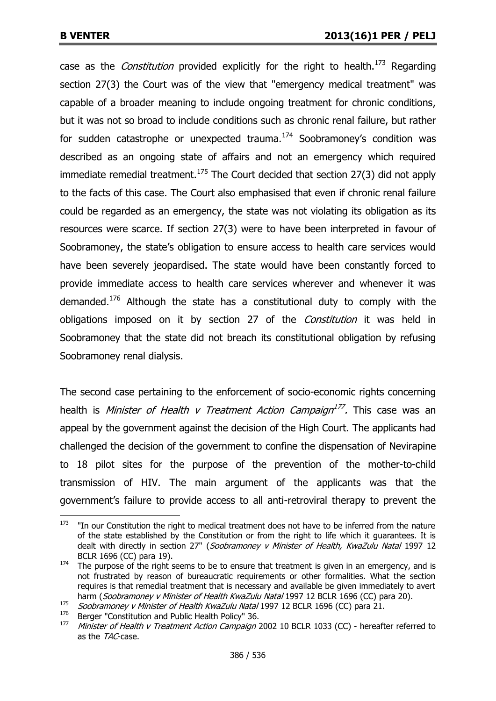case as the *Constitution* provided explicitly for the right to health.<sup>173</sup> Regarding section 27(3) the Court was of the view that "emergency medical treatment" was capable of a broader meaning to include ongoing treatment for chronic conditions, but it was not so broad to include conditions such as chronic renal failure, but rather for sudden catastrophe or unexpected trauma. $174$  Soobramoney's condition was described as an ongoing state of affairs and not an emergency which required immediate remedial treatment.<sup>175</sup> The Court decided that section 27(3) did not apply to the facts of this case. The Court also emphasised that even if chronic renal failure could be regarded as an emergency, the state was not violating its obligation as its resources were scarce. If section 27(3) were to have been interpreted in favour of Soobramoney, the state's obligation to ensure access to health care services would have been severely jeopardised. The state would have been constantly forced to provide immediate access to health care services wherever and whenever it was demanded.<sup>176</sup> Although the state has a constitutional duty to comply with the obligations imposed on it by section 27 of the *Constitution* it was held in Soobramoney that the state did not breach its constitutional obligation by refusing Soobramoney renal dialysis.

The second case pertaining to the enforcement of socio-economic rights concerning health is *Minister of Health v Treatment Action Campaign<sup>177</sup>.* This case was an appeal by the government against the decision of the High Court. The applicants had challenged the decision of the government to confine the dispensation of Nevirapine to 18 pilot sites for the purpose of the prevention of the mother-to-child transmission of HIV. The main argument of the applicants was that the government's failure to provide access to all anti-retroviral therapy to prevent the

<sup>173</sup> "In our Constitution the right to medical treatment does not have to be inferred from the nature of the state established by the Constitution or from the right to life which it guarantees. It is dealt with directly in section 27" (Soobramoney v Minister of Health, KwaZulu Natal 1997 12 BCLR 1696 (CC) para 19).

 $174$  The purpose of the right seems to be to ensure that treatment is given in an emergency, and is not frustrated by reason of bureaucratic requirements or other formalities. What the section requires is that remedial treatment that is necessary and available be given immediately to avert harm (Soobramoney v Minister of Health KwaZulu Natal 1997 12 BCLR 1696 (CC) para 20).

<sup>175</sup> Soobramoney v Minister of Health KwaZulu Natal 1997 12 BCLR 1696 (CC) para 21.

<sup>&</sup>lt;sup>176</sup> Berger "Constitution and Public Health Policy" 36.<br><sup>177</sup> Minister of Health *v* Treatment Action Compaign:

Minister of Health v Treatment Action Campaign 2002 10 BCLR 1033 (CC) - hereafter referred to as the TAC-case.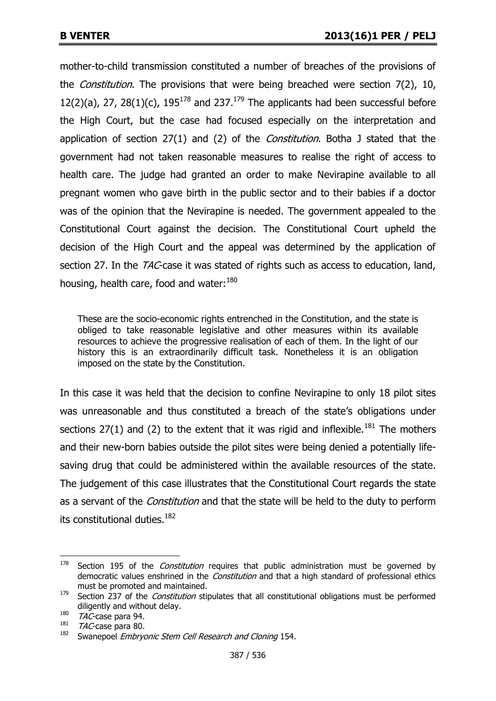mother-to-child transmission constituted a number of breaches of the provisions of the *Constitution*. The provisions that were being breached were section 7(2), 10, 12(2)(a), 27, 28(1)(c),  $195^{178}$  and 237.<sup>179</sup> The applicants had been successful before the High Court, but the case had focused especially on the interpretation and application of section  $27(1)$  and  $(2)$  of the *Constitution*. Botha J stated that the government had not taken reasonable measures to realise the right of access to health care. The judge had granted an order to make Nevirapine available to all pregnant women who gave birth in the public sector and to their babies if a doctor was of the opinion that the Nevirapine is needed. The government appealed to the Constitutional Court against the decision. The Constitutional Court upheld the decision of the High Court and the appeal was determined by the application of section 27. In the *TAC*-case it was stated of rights such as access to education, land, housing, health care, food and water: $180$ 

These are the socio-economic rights entrenched in the Constitution, and the state is obliged to take reasonable legislative and other measures within its available resources to achieve the progressive realisation of each of them. In the light of our history this is an extraordinarily difficult task. Nonetheless it is an obligation imposed on the state by the Constitution.

In this case it was held that the decision to confine Nevirapine to only 18 pilot sites was unreasonable and thus constituted a breach of the state's obligations under sections 27(1) and (2) to the extent that it was rigid and inflexible.<sup>181</sup> The mothers and their new-born babies outside the pilot sites were being denied a potentially lifesaving drug that could be administered within the available resources of the state. The judgement of this case illustrates that the Constitutional Court regards the state as a servant of the *Constitution* and that the state will be held to the duty to perform its constitutional duties.<sup>182</sup>

<sup>&</sup>lt;sup>178</sup> Section 195 of the *Constitution* requires that public administration must be governed by democratic values enshrined in the Constitution and that a high standard of professional ethics must be promoted and maintained.

 $179$  Section 237 of the *Constitution* stipulates that all constitutional obligations must be performed diligently and without delay.

 $180$  TAC-case para 94.

 $181$  TAC-case para 80.

Swanepoel Embryonic Stem Cell Research and Cloning 154.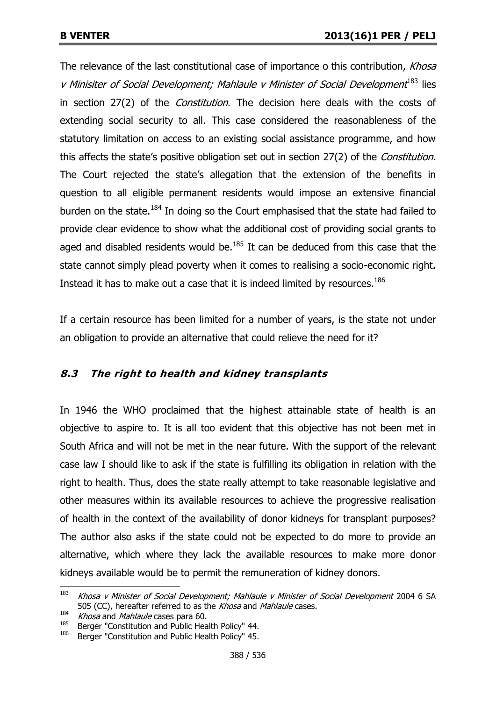The relevance of the last constitutional case of importance o this contribution, Khosa v Minisiter of Social Development; Mahlaule v Minister of Social Development<sup>183</sup> lies in section 27(2) of the *Constitution*. The decision here deals with the costs of extending social security to all. This case considered the reasonableness of the statutory limitation on access to an existing social assistance programme, and how this affects the state's positive obligation set out in section 27(2) of the *Constitution*. The Court rejected the state's allegation that the extension of the benefits in question to all eligible permanent residents would impose an extensive financial burden on the state.<sup>184</sup> In doing so the Court emphasised that the state had failed to provide clear evidence to show what the additional cost of providing social grants to aged and disabled residents would be. $185$  It can be deduced from this case that the state cannot simply plead poverty when it comes to realising a socio-economic right. Instead it has to make out a case that it is indeed limited by resources.<sup>186</sup>

If a certain resource has been limited for a number of years, is the state not under an obligation to provide an alternative that could relieve the need for it?

# **8.3 The right to health and kidney transplants**

In 1946 the WHO proclaimed that the highest attainable state of health is an objective to aspire to. It is all too evident that this objective has not been met in South Africa and will not be met in the near future. With the support of the relevant case law I should like to ask if the state is fulfilling its obligation in relation with the right to health. Thus, does the state really attempt to take reasonable legislative and other measures within its available resources to achieve the progressive realisation of health in the context of the availability of donor kidneys for transplant purposes? The author also asks if the state could not be expected to do more to provide an alternative, which where they lack the available resources to make more donor kidneys available would be to permit the remuneration of kidney donors.

<sup>&</sup>lt;sup>183</sup> Khosa v Minister of Social Development; Mahlaule v Minister of Social Development 2004 6 SA 505 (CC), hereafter referred to as the Khosa and Mahlaule cases.

 $184$  Khosa and Mahlaule cases para 60.

<sup>&</sup>lt;sup>185</sup> Berger "Constitution and Public Health Policy" 44.<br><sup>186</sup> Berger "Constitution and Public Health Policy" 45.

Berger "Constitution and Public Health Policy" 45.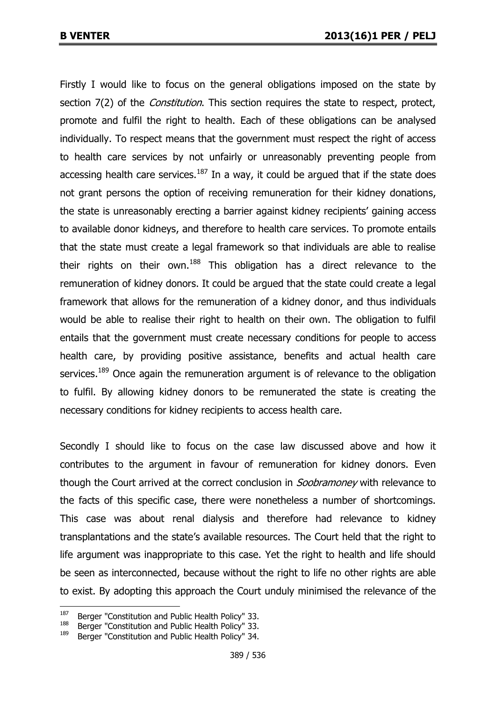Firstly I would like to focus on the general obligations imposed on the state by section 7(2) of the *Constitution*. This section requires the state to respect, protect, promote and fulfil the right to health. Each of these obligations can be analysed individually. To respect means that the government must respect the right of access to health care services by not unfairly or unreasonably preventing people from accessing health care services. $187$  In a way, it could be argued that if the state does not grant persons the option of receiving remuneration for their kidney donations, the state is unreasonably erecting a barrier against kidney recipients' gaining access to available donor kidneys, and therefore to health care services. To promote entails that the state must create a legal framework so that individuals are able to realise their rights on their own.<sup>188</sup> This obligation has a direct relevance to the remuneration of kidney donors. It could be argued that the state could create a legal framework that allows for the remuneration of a kidney donor, and thus individuals would be able to realise their right to health on their own. The obligation to fulfil entails that the government must create necessary conditions for people to access health care, by providing positive assistance, benefits and actual health care services.<sup>189</sup> Once again the remuneration argument is of relevance to the obligation to fulfil. By allowing kidney donors to be remunerated the state is creating the necessary conditions for kidney recipients to access health care.

Secondly I should like to focus on the case law discussed above and how it contributes to the argument in favour of remuneration for kidney donors. Even though the Court arrived at the correct conclusion in *Soobramoney* with relevance to the facts of this specific case, there were nonetheless a number of shortcomings. This case was about renal dialysis and therefore had relevance to kidney transplantations and the state's available resources. The Court held that the right to life argument was inappropriate to this case. Yet the right to health and life should be seen as interconnected, because without the right to life no other rights are able to exist. By adopting this approach the Court unduly minimised the relevance of the

<sup>&</sup>lt;sup>187</sup> Berger "Constitution and Public Health Policy" 33.<br><sup>188</sup> Berger "Constitution and Public Health Policy" 33.

<sup>&</sup>lt;sup>188</sup> Berger "Constitution and Public Health Policy" 33.<br><sup>189</sup> Berger "Constitution and Public Health Policy" 34.

Berger "Constitution and Public Health Policy" 34.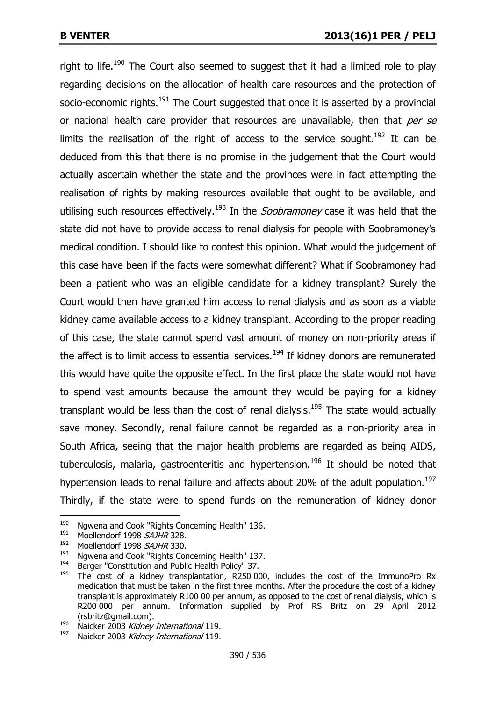right to life.<sup>190</sup> The Court also seemed to suggest that it had a limited role to play regarding decisions on the allocation of health care resources and the protection of socio-economic rights.<sup>191</sup> The Court suggested that once it is asserted by a provincial or national health care provider that resources are unavailable, then that per se limits the realisation of the right of access to the service sought.<sup>192</sup> It can be deduced from this that there is no promise in the judgement that the Court would actually ascertain whether the state and the provinces were in fact attempting the realisation of rights by making resources available that ought to be available, and utilising such resources effectively.<sup>193</sup> In the *Soobramoney* case it was held that the state did not have to provide access to renal dialysis for people with Soobramoney's medical condition. I should like to contest this opinion. What would the judgement of this case have been if the facts were somewhat different? What if Soobramoney had been a patient who was an eligible candidate for a kidney transplant? Surely the Court would then have granted him access to renal dialysis and as soon as a viable kidney came available access to a kidney transplant. According to the proper reading of this case, the state cannot spend vast amount of money on non-priority areas if the affect is to limit access to essential services.<sup>194</sup> If kidney donors are remunerated this would have quite the opposite effect. In the first place the state would not have to spend vast amounts because the amount they would be paying for a kidney transplant would be less than the cost of renal dialysis.<sup>195</sup> The state would actually save money. Secondly, renal failure cannot be regarded as a non-priority area in South Africa, seeing that the major health problems are regarded as being AIDS, tuberculosis, malaria, gastroenteritis and hypertension.<sup>196</sup> It should be noted that hypertension leads to renal failure and affects about 20% of the adult population.<sup>197</sup> Thirdly, if the state were to spend funds on the remuneration of kidney donor

<sup>190</sup> <sup>190</sup> Ngwena and Cook "Rights Concerning Health" 136.

<sup>&</sup>lt;sup>191</sup> Moellendorf 1998 *SAJHR* 328.

<sup>&</sup>lt;sup>192</sup> Moellendorf 1998 *SAJHR* 330.

<sup>&</sup>lt;sup>193</sup> Ngwena and Cook "Rights Concerning Health" 137.

<sup>&</sup>lt;sup>194</sup> Berger "Constitution and Public Health Policy" 37.<br><sup>195</sup> The cost of a kidney transplantation. P250.00

The cost of a kidney transplantation, R250 000, includes the cost of the ImmunoPro Rx medication that must be taken in the first three months. After the procedure the cost of a kidney transplant is approximately R100 00 per annum, as opposed to the cost of renal dialysis, which is R200 000 per annum. Information supplied by Prof RS Britz on 29 April 2012 (rsbritz@gmail.com).

<sup>196</sup> Naicker 2003 Kidney International 119.

Naicker 2003 Kidney International 119.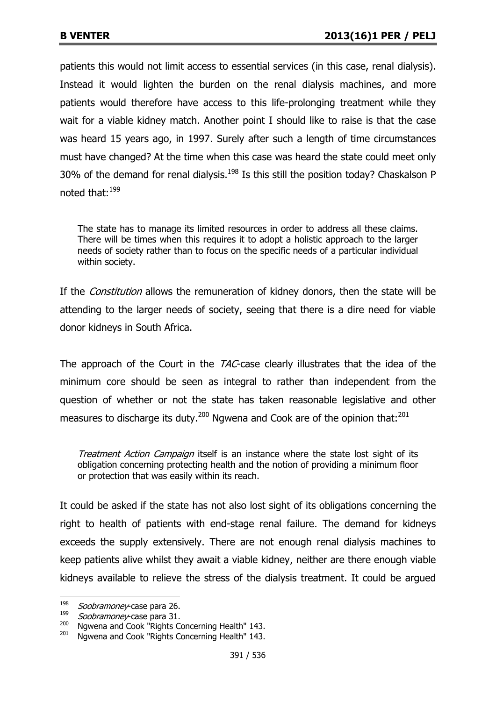patients this would not limit access to essential services (in this case, renal dialysis). Instead it would lighten the burden on the renal dialysis machines, and more patients would therefore have access to this life-prolonging treatment while they wait for a viable kidney match. Another point I should like to raise is that the case was heard 15 years ago, in 1997. Surely after such a length of time circumstances must have changed? At the time when this case was heard the state could meet only 30% of the demand for renal dialysis.<sup>198</sup> Is this still the position today? Chaskalson P noted that: 199

The state has to manage its limited resources in order to address all these claims. There will be times when this requires it to adopt a holistic approach to the larger needs of society rather than to focus on the specific needs of a particular individual within society.

If the *Constitution* allows the remuneration of kidney donors, then the state will be attending to the larger needs of society, seeing that there is a dire need for viable donor kidneys in South Africa.

The approach of the Court in the *TAC*-case clearly illustrates that the idea of the minimum core should be seen as integral to rather than independent from the question of whether or not the state has taken reasonable legislative and other measures to discharge its duty.<sup>200</sup> Ngwena and Cook are of the opinion that:<sup>201</sup>

Treatment Action Campaign itself is an instance where the state lost sight of its obligation concerning protecting health and the notion of providing a minimum floor or protection that was easily within its reach.

It could be asked if the state has not also lost sight of its obligations concerning the right to health of patients with end-stage renal failure. The demand for kidneys exceeds the supply extensively. There are not enough renal dialysis machines to keep patients alive whilst they await a viable kidney, neither are there enough viable kidneys available to relieve the stress of the dialysis treatment. It could be argued

<sup>198</sup>  $\frac{198}{199}$  *Soobramoney*-case para 26.

 $^{199}$  *Soobramoney*-case para 31.<br> $^{200}$  Ngwena and Cook "Pights Co

 $^{200}$  Ngwena and Cook "Rights Concerning Health" 143.<br> $^{201}$  Nguena and Cook "Pights Concerning Health" 143.

<sup>201</sup> Ngwena and Cook "Rights Concerning Health" 143.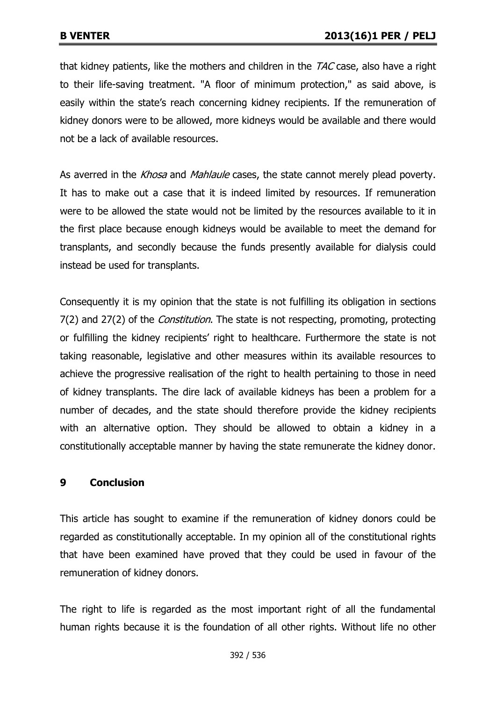that kidney patients, like the mothers and children in the  $TAC$  case, also have a right to their life-saving treatment. "A floor of minimum protection," as said above, is easily within the state's reach concerning kidney recipients. If the remuneration of kidney donors were to be allowed, more kidneys would be available and there would not be a lack of available resources.

As averred in the Khosa and Mahlaule cases, the state cannot merely plead poverty. It has to make out a case that it is indeed limited by resources. If remuneration were to be allowed the state would not be limited by the resources available to it in the first place because enough kidneys would be available to meet the demand for transplants, and secondly because the funds presently available for dialysis could instead be used for transplants.

Consequently it is my opinion that the state is not fulfilling its obligation in sections 7(2) and 27(2) of the Constitution. The state is not respecting, promoting, protecting or fulfilling the kidney recipients' right to healthcare. Furthermore the state is not taking reasonable, legislative and other measures within its available resources to achieve the progressive realisation of the right to health pertaining to those in need of kidney transplants. The dire lack of available kidneys has been a problem for a number of decades, and the state should therefore provide the kidney recipients with an alternative option. They should be allowed to obtain a kidney in a constitutionally acceptable manner by having the state remunerate the kidney donor.

#### **9 Conclusion**

This article has sought to examine if the remuneration of kidney donors could be regarded as constitutionally acceptable. In my opinion all of the constitutional rights that have been examined have proved that they could be used in favour of the remuneration of kidney donors.

The right to life is regarded as the most important right of all the fundamental human rights because it is the foundation of all other rights. Without life no other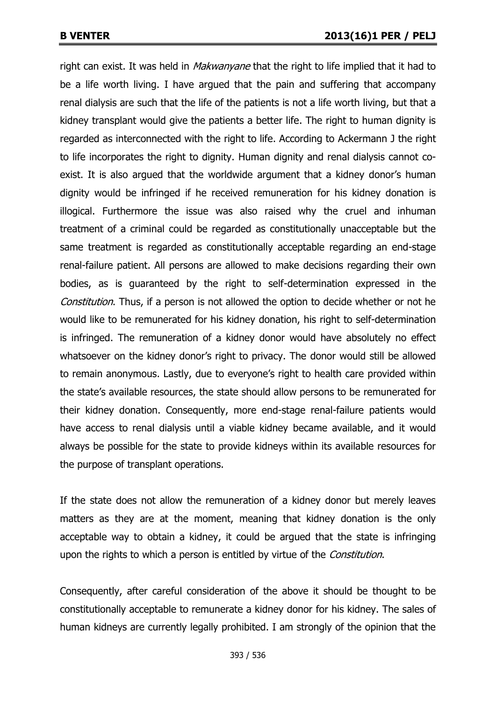right can exist. It was held in *Makwanyane* that the right to life implied that it had to be a life worth living. I have argued that the pain and suffering that accompany renal dialysis are such that the life of the patients is not a life worth living, but that a kidney transplant would give the patients a better life. The right to human dignity is regarded as interconnected with the right to life. According to Ackermann J the right to life incorporates the right to dignity. Human dignity and renal dialysis cannot coexist. It is also argued that the worldwide argument that a kidney donor's human dignity would be infringed if he received remuneration for his kidney donation is illogical. Furthermore the issue was also raised why the cruel and inhuman treatment of a criminal could be regarded as constitutionally unacceptable but the same treatment is regarded as constitutionally acceptable regarding an end-stage renal-failure patient. All persons are allowed to make decisions regarding their own bodies, as is guaranteed by the right to self-determination expressed in the Constitution. Thus, if a person is not allowed the option to decide whether or not he would like to be remunerated for his kidney donation, his right to self-determination is infringed. The remuneration of a kidney donor would have absolutely no effect whatsoever on the kidney donor's right to privacy. The donor would still be allowed to remain anonymous. Lastly, due to everyone's right to health care provided within the state's available resources, the state should allow persons to be remunerated for their kidney donation. Consequently, more end-stage renal-failure patients would have access to renal dialysis until a viable kidney became available, and it would always be possible for the state to provide kidneys within its available resources for the purpose of transplant operations.

If the state does not allow the remuneration of a kidney donor but merely leaves matters as they are at the moment, meaning that kidney donation is the only acceptable way to obtain a kidney, it could be argued that the state is infringing upon the rights to which a person is entitled by virtue of the *Constitution*.

Consequently, after careful consideration of the above it should be thought to be constitutionally acceptable to remunerate a kidney donor for his kidney. The sales of human kidneys are currently legally prohibited. I am strongly of the opinion that the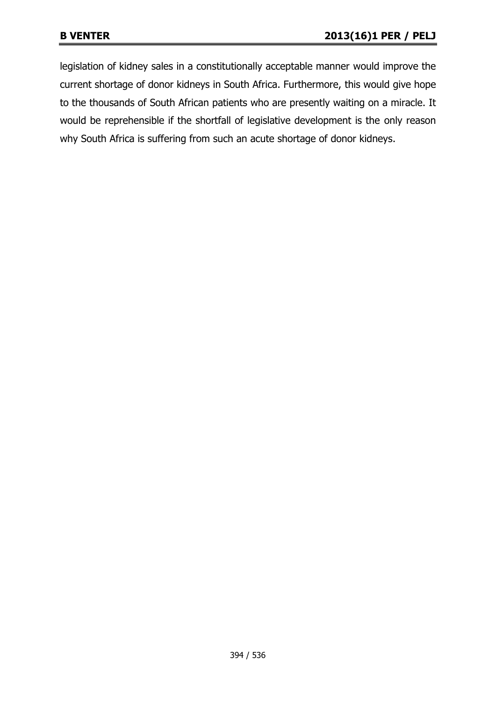legislation of kidney sales in a constitutionally acceptable manner would improve the current shortage of donor kidneys in South Africa. Furthermore, this would give hope to the thousands of South African patients who are presently waiting on a miracle. It would be reprehensible if the shortfall of legislative development is the only reason why South Africa is suffering from such an acute shortage of donor kidneys.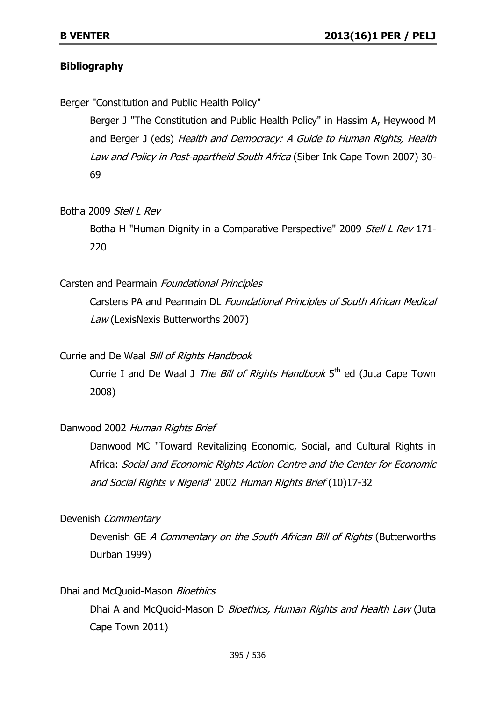#### **Bibliography**

Berger "Constitution and Public Health Policy"

Berger J "The Constitution and Public Health Policy" in Hassim A, Heywood M and Berger J (eds) Health and Democracy: A Guide to Human Rights, Health Law and Policy in Post-apartheid South Africa (Siber Ink Cape Town 2007) 30-69

Botha 2009 Stell L Rev

Botha H "Human Dignity in a Comparative Perspective" 2009 Stell L Rev 171-220

#### Carsten and Pearmain Foundational Principles

Carstens PA and Pearmain DL Foundational Principles of South African Medical Law (LexisNexis Butterworths 2007)

Currie and De Waal Bill of Rights Handbook

Currie I and De Waal J *The Bill of Rights Handbook* 5<sup>th</sup> ed (Juta Cape Town 2008)

#### Danwood 2002 Human Rights Brief

Danwood MC "Toward Revitalizing Economic, Social, and Cultural Rights in Africa: Social and Economic Rights Action Centre and the Center for Economic and Social Rights v Nigeria" 2002 Human Rights Brief (10)17-32

Devenish Commentary

Devenish GE A Commentary on the South African Bill of Rights (Butterworths Durban 1999)

#### Dhai and McQuoid-Mason Bioethics

Dhai A and McQuoid-Mason D Bioethics, Human Rights and Health Law (Juta Cape Town 2011)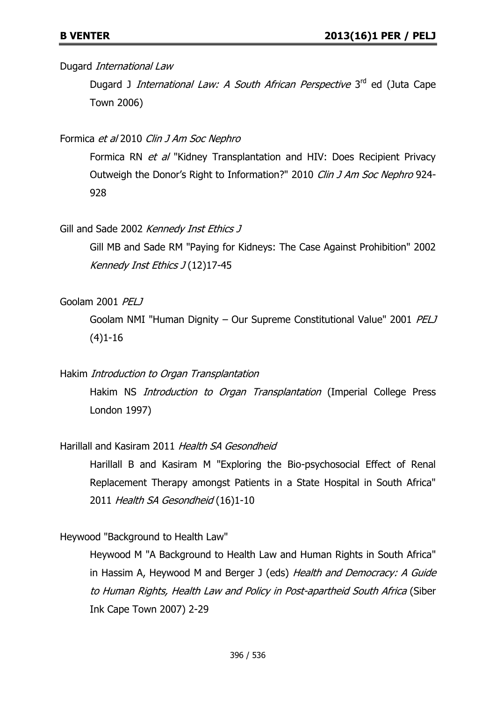# Dugard International Law

Dugard J *International Law: A South African Perspective* 3<sup>rd</sup> ed (Juta Cape Town 2006)

#### Formica et al 2010 Clin J Am Soc Nephro

Formica RN *et al* "Kidney Transplantation and HIV: Does Recipient Privacy Outweigh the Donor's Right to Information?" 2010 Clin J Am Soc Nephro 924-928

#### Gill and Sade 2002 Kennedy Inst Ethics J

Gill MB and Sade RM "Paying for Kidneys: The Case Against Prohibition" 2002 Kennedy Inst Ethics J (12)17-45

#### Goolam 2001 PELJ

Goolam NMI "Human Dignity - Our Supreme Constitutional Value" 2001 PELJ (4)1-16

#### Hakim Introduction to Organ Transplantation

Hakim NS *Introduction to Organ Transplantation* (Imperial College Press London 1997)

#### Harillall and Kasiram 2011 Health SA Gesondheid

Harillall B and Kasiram M "Exploring the Bio-psychosocial Effect of Renal Replacement Therapy amongst Patients in a State Hospital in South Africa" 2011 Health SA Gesondheid (16)1-10

# Heywood "Background to Health Law"

Heywood M "A Background to Health Law and Human Rights in South Africa" in Hassim A, Heywood M and Berger J (eds) Health and Democracy: A Guide to Human Rights, Health Law and Policy in Post-apartheid South Africa (Siber Ink Cape Town 2007) 2-29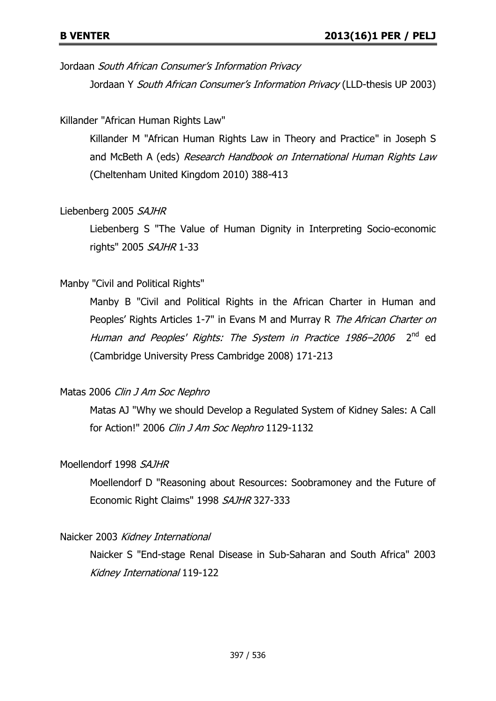Jordaan South African Consumer's Information Privacy

Jordaan Y South African Consumer's Information Privacy (LLD-thesis UP 2003)

# Killander "African Human Rights Law"

Killander M "African Human Rights Law in Theory and Practice" in Joseph S and McBeth A (eds) Research Handbook on International Human Rights Law (Cheltenham United Kingdom 2010) 388-413

# Liebenberg 2005 SAJHR

Liebenberg S "The Value of Human Dignity in Interpreting Socio-economic rights" 2005 SAJHR 1-33

# Manby "Civil and Political Rights"

Manby B "Civil and Political Rights in the African Charter in Human and Peoples' Rights Articles 1-7" in Evans M and Murray R The African Charter on Human and Peoples' Rights: The System in Practice 1986–2006 2<sup>nd</sup> ed (Cambridge University Press Cambridge 2008) 171-213

# Matas 2006 Clin J Am Soc Nephro

Matas AJ "Why we should Develop a Regulated System of Kidney Sales: A Call for Action!" 2006 Clin J Am Soc Nephro 1129-1132

# Moellendorf 1998 SAJHR

Moellendorf D "Reasoning about Resources: Soobramoney and the Future of Economic Right Claims" 1998 SAJHR 327-333

# Naicker 2003 Kidney International

Naicker S "End-stage Renal Disease in Sub-Saharan and South Africa" 2003 Kidney International 119-122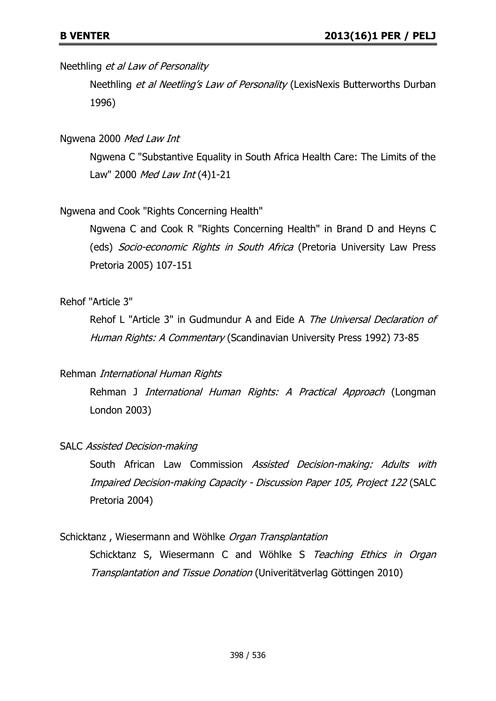# Neethling et al Law of Personality

Neethling et al Neetling's Law of Personality (LexisNexis Butterworths Durban 1996)

#### Ngwena 2000 Med Law Int

Ngwena C "Substantive Equality in South Africa Health Care: The Limits of the Law" 2000 Med Law Int (4)1-21

# Ngwena and Cook "Rights Concerning Health"

Ngwena C and Cook R "Rights Concerning Health" in Brand D and Heyns C (eds) Socio-economic Rights in South Africa (Pretoria University Law Press Pretoria 2005) 107-151

#### Rehof "Article 3"

Rehof L "Article 3" in Gudmundur A and Eide A The Universal Declaration of Human Rights: A Commentary (Scandinavian University Press 1992) 73-85

#### Rehman International Human Rights

Rehman J International Human Rights: A Practical Approach (Longman London 2003)

#### SALC Assisted Decision-making

South African Law Commission Assisted Decision-making: Adults with Impaired Decision-making Capacity - Discussion Paper 105, Project 122 (SALC Pretoria 2004)

#### Schicktanz, Wiesermann and Wöhlke Organ Transplantation

Schicktanz S, Wiesermann C and Wöhlke S Teaching Ethics in Organ Transplantation and Tissue Donation (Univeritätverlag Göttingen 2010)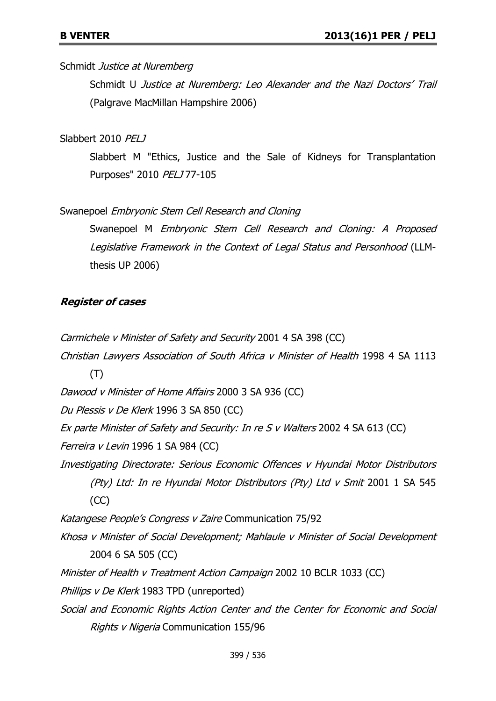#### Schmidt Justice at Nuremberg

Schmidt U Justice at Nuremberg: Leo Alexander and the Nazi Doctors' Trail (Palgrave MacMillan Hampshire 2006)

#### Slabbert 2010 PELJ

Slabbert M "Ethics, Justice and the Sale of Kidneys for Transplantation Purposes" 2010 PELJ 77-105

#### Swanepoel Embryonic Stem Cell Research and Cloning

Swanepoel M Embryonic Stem Cell Research and Cloning: A Proposed Legislative Framework in the Context of Legal Status and Personhood (LLMthesis UP 2006)

#### **Register of cases**

Carmichele v Minister of Safety and Security 2001 4 SA 398 (CC)

Christian Lawyers Association of South Africa v Minister of Health 1998 4 SA 1113 (T)

Dawood v Minister of Home Affairs 2000 3 SA 936 (CC)

Du Plessis v De Klerk 1996 3 SA 850 (CC)

Ex parte Minister of Safety and Security: In re S v Walters 2002 4 SA 613 (CC)

Ferreira v Levin 1996 1 SA 984 (CC)

Investigating Directorate: Serious Economic Offences v Hyundai Motor Distributors (Pty) Ltd: In re Hyundai Motor Distributors (Pty) Ltd v Smit 2001 1 SA 545 (CC)

Katangese People's Congress v Zaire Communication 75/92

Khosa v Minister of Social Development; Mahlaule v Minister of Social Development 2004 6 SA 505 (CC)

Minister of Health v Treatment Action Campaign 2002 10 BCLR 1033 (CC)

Phillips v De Klerk 1983 TPD (unreported)

Social and Economic Rights Action Center and the Center for Economic and Social Rights v Nigeria Communication 155/96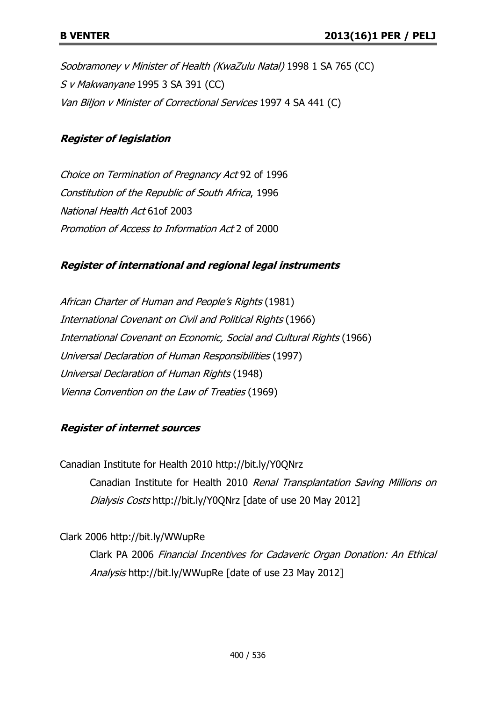Soobramoney v Minister of Health (KwaZulu Natal) 1998 1 SA 765 (CC) S v Makwanyane 1995 3 SA 391 (CC) Van Biljon v Minister of Correctional Services 1997 4 SA 441 (C)

#### **Register of legislation**

Choice on Termination of Pregnancy Act 92 of 1996 Constitution of the Republic of South Africa, 1996 National Health Act 61of 2003 Promotion of Access to Information Act 2 of 2000

#### **Register of international and regional legal instruments**

African Charter of Human and People's Rights (1981) International Covenant on Civil and Political Rights (1966) International Covenant on Economic, Social and Cultural Rights (1966) Universal Declaration of Human Responsibilities (1997) Universal Declaration of Human Rights (1948) Vienna Convention on the Law of Treaties (1969)

#### **Register of internet sources**

Canadian Institute for Health 2010 http://bit.ly/Y0QNrz Canadian Institute for Health 2010 Renal Transplantation Saving Millions on Dialysis Costs http://bit.ly/Y0QNrz [date of use 20 May 2012]

Clark 2006 http://bit.ly/WWupRe Clark PA 2006 Financial Incentives for Cadaveric Organ Donation: An Ethical Analysis http://bit.ly/WWupRe [date of use 23 May 2012]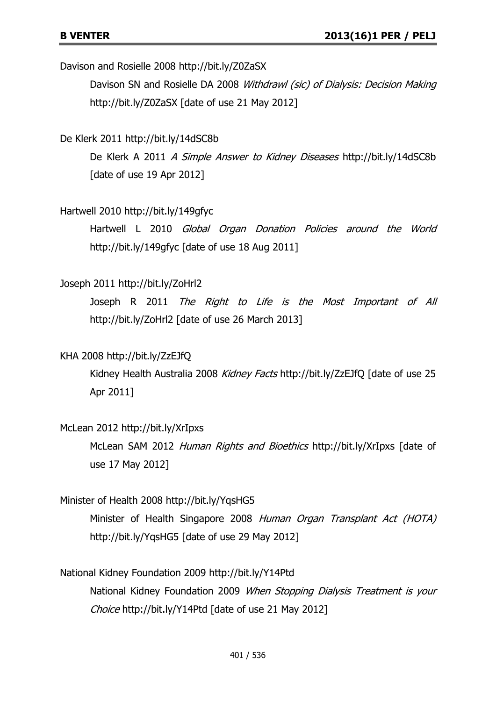# Davison and Rosielle 2008 http://bit.ly/Z0ZaSX

Davison SN and Rosielle DA 2008 Withdrawl (sic) of Dialysis: Decision Making http://bit.ly/Z0ZaSX [date of use 21 May 2012]

# De Klerk 2011 http://bit.ly/14dSC8b

De Klerk A 2011 A Simple Answer to Kidney Diseases http://bit.ly/14dSC8b [date of use 19 Apr 2012]

#### Hartwell 2010 http://bit.ly/149gfyc

Hartwell L 2010 Global Organ Donation Policies around the World http://bit.ly/149gfyc [date of use 18 Aug 2011]

#### Joseph 2011<http://bit.ly/ZoHrl2>

Joseph R 2011 The Right to Life is the Most Important of All <http://bit.ly/ZoHrl2> [date of use 26 March 2013]

#### KHA 2008 http://bit.ly/ZzEJfQ

Kidney Health Australia 2008 Kidney Facts http://bit.ly/ZzEJfQ [date of use 25 Apr 2011]

#### McLean 2012 http://bit.ly/XrIpxs

McLean SAM 2012 Human Rights and Bioethics http://bit.ly/XrIpxs [date of use 17 May 2012]

#### Minister of Health 2008 http://bit.ly/YqsHG5

Minister of Health Singapore 2008 Human Organ Transplant Act (HOTA) http://bit.ly/YqsHG5 [date of use 29 May 2012]

# National Kidney Foundation 2009 http://bit.ly/Y14Ptd

National Kidney Foundation 2009 When Stopping Dialysis Treatment is your Choice http://bit.ly/Y14Ptd [date of use 21 May 2012]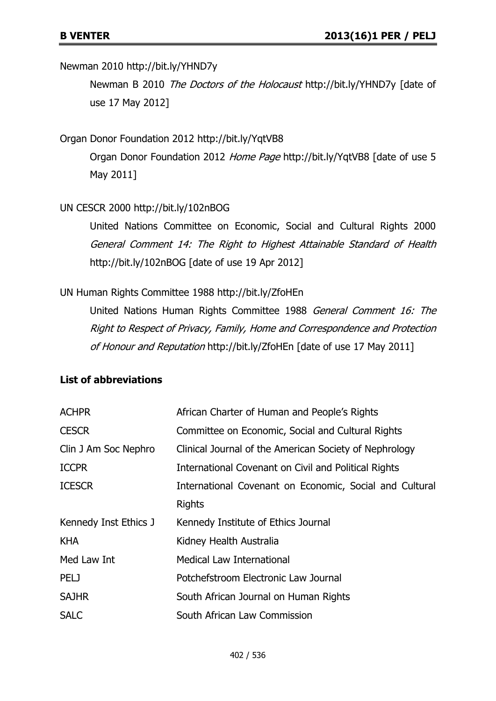Newman 2010 http://bit.ly/YHND7y

Newman B 2010 The Doctors of the Holocaust http://bit.ly/YHND7y [date of use 17 May 2012]

Organ Donor Foundation 2012 http://bit.ly/YqtVB8

Organ Donor Foundation 2012 Home Page http://bit.ly/YqtVB8 [date of use 5 May 2011]

UN CESCR 2000 http://bit.ly/102nBOG

United Nations Committee on Economic, Social and Cultural Rights 2000 General Comment 14: The Right to Highest Attainable Standard of Health http://bit.ly/102nBOG [date of use 19 Apr 2012]

#### UN Human Rights Committee 1988 http://bit.ly/ZfoHEn

United Nations Human Rights Committee 1988 General Comment 16: The Right to Respect of Privacy, Family, Home and Correspondence and Protection of Honour and Reputation http://bit.ly/ZfoHEn [date of use 17 May 2011]

# **List of abbreviations**

| <b>ACHPR</b>          | African Charter of Human and People's Rights            |
|-----------------------|---------------------------------------------------------|
| <b>CESCR</b>          | Committee on Economic, Social and Cultural Rights       |
| Clin J Am Soc Nephro  | Clinical Journal of the American Society of Nephrology  |
| <b>ICCPR</b>          | International Covenant on Civil and Political Rights    |
| <b>ICESCR</b>         | International Covenant on Economic, Social and Cultural |
|                       | <b>Rights</b>                                           |
| Kennedy Inst Ethics J | Kennedy Institute of Ethics Journal                     |
| <b>KHA</b>            | Kidney Health Australia                                 |
| Med Law Int           | <b>Medical Law International</b>                        |
| PELJ                  | Potchefstroom Electronic Law Journal                    |
| <b>SAJHR</b>          | South African Journal on Human Rights                   |
| <b>SALC</b>           | South African Law Commission                            |